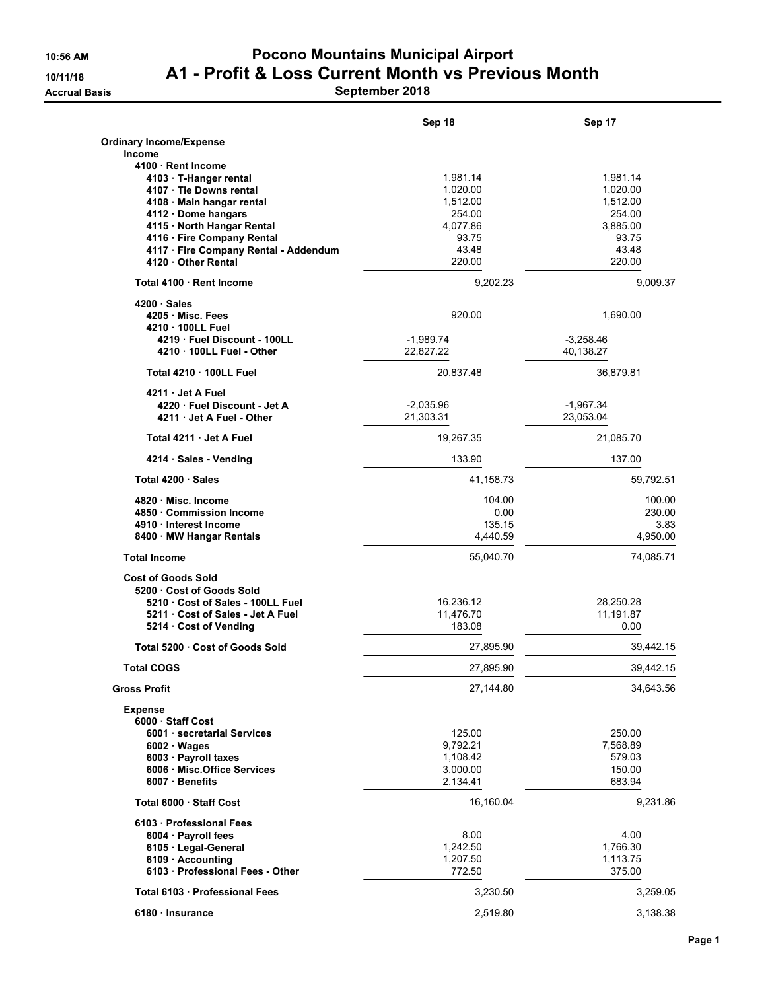#### **10:56 AM Pocono Mountains Municipal Airport 10/11/18 A1 - Profit & Loss Current Month vs Previous Month Accrual Basis September 2018**

|                                                         | Sep 18               | Sep 17                   |
|---------------------------------------------------------|----------------------|--------------------------|
| <b>Ordinary Income/Expense</b>                          |                      |                          |
| <b>Income</b>                                           |                      |                          |
| 4100 Rent Income                                        |                      |                          |
| 4103 · T-Hanger rental                                  | 1,981.14             | 1,981.14                 |
| 4107 · Tie Downs rental                                 | 1,020.00             | 1,020.00                 |
| 4108 · Main hangar rental                               | 1,512.00             | 1,512.00                 |
| 4112 · Dome hangars<br>4115 · North Hangar Rental       | 254.00<br>4,077.86   | 254.00<br>3,885.00       |
| 4116 · Fire Company Rental                              | 93.75                | 93.75                    |
| 4117 · Fire Company Rental - Addendum                   | 43.48                | 43.48                    |
| 4120 · Other Rental                                     | 220.00               | 220.00                   |
| Total 4100 Rent Income                                  | 9,202.23             | 9,009.37                 |
| 4200 Sales                                              |                      |                          |
| 4205 Misc. Fees                                         | 920.00               | 1,690.00                 |
| 4210 . 100LL Fuel                                       | $-1,989.74$          |                          |
| 4219 Fuel Discount - 100LL<br>4210 . 100LL Fuel - Other | 22,827.22            | $-3,258.46$<br>40,138.27 |
| Total 4210 . 100LL Fuel                                 | 20,837.48            | 36,879.81                |
| 4211 Jet A Fuel                                         |                      |                          |
| 4220 Fuel Discount - Jet A                              | $-2,035.96$          | -1,967.34                |
| 4211 Jet A Fuel - Other                                 | 21,303.31            | 23,053.04                |
| Total 4211 Jet A Fuel                                   | 19,267.35            | 21,085.70                |
| 4214 · Sales - Vending                                  | 133.90               | 137.00                   |
| Total 4200 · Sales                                      | 41,158.73            | 59,792.51                |
| 4820 Misc. Income                                       | 104.00               | 100.00                   |
| 4850 Commission Income                                  | 0.00                 | 230.00                   |
| 4910 · Interest Income                                  | 135.15               | 3.83                     |
| 8400 · MW Hangar Rentals                                | 4,440.59             | 4,950.00                 |
| <b>Total Income</b>                                     | 55,040.70            | 74,085.71                |
| <b>Cost of Goods Sold</b>                               |                      |                          |
| 5200 Cost of Goods Sold                                 |                      |                          |
| 5210 Cost of Sales - 100LL Fuel                         | 16,236.12            | 28,250.28                |
| 5211 · Cost of Sales - Jet A Fuel                       | 11,476.70            | 11,191.87                |
| 5214 Cost of Vending                                    | 183.08               | 0.00                     |
| Total 5200 Cost of Goods Sold                           | 27,895.90            | 39,442.15                |
| <b>Total COGS</b>                                       | 27,895.90            | 39,442.15                |
| <b>Gross Profit</b>                                     | 27,144.80            | 34,643.56                |
| <b>Expense</b>                                          |                      |                          |
| 6000 Staff Cost                                         |                      |                          |
| 6001 · secretarial Services                             | 125.00               | 250.00                   |
| $6002 \cdot Wages$                                      | 9,792.21             | 7,568.89                 |
| 6003 · Payroll taxes<br>6006 · Misc.Office Services     | 1,108.42             | 579.03<br>150.00         |
| 6007 · Benefits                                         | 3,000.00<br>2,134.41 | 683.94                   |
|                                                         |                      |                          |
| Total 6000 Staff Cost                                   | 16,160.04            | 9,231.86                 |
| 6103 · Professional Fees                                |                      |                          |
| $6004 \cdot$ Payroll fees                               | 8.00                 | 4.00                     |
| 6105 · Legal-General                                    | 1,242.50             | 1,766.30                 |
| 6109 · Accounting                                       | 1,207.50             | 1,113.75                 |
| 6103 · Professional Fees - Other                        | 772.50               | 375.00                   |
| Total 6103 Professional Fees                            | 3,230.50             | 3,259.05                 |
| 6180 Insurance                                          | 2,519.80             | 3,138.38                 |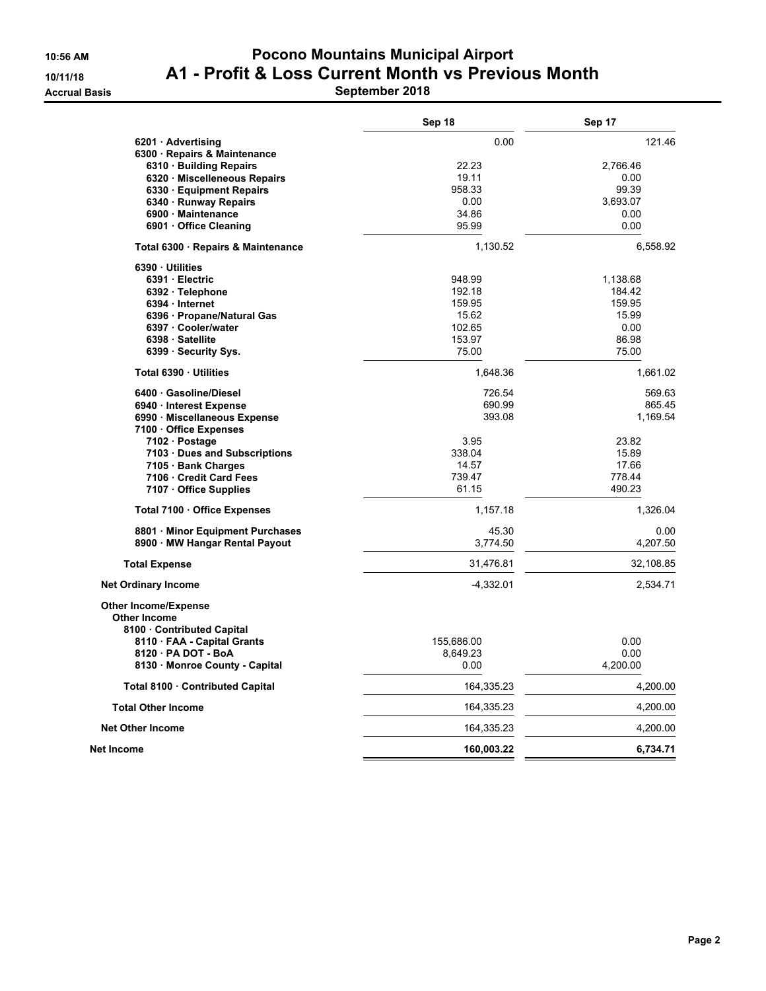#### **10:56 AM Pocono Mountains Municipal Airport 10/11/18 A1 - Profit & Loss Current Month vs Previous Month Accrual Basis September 2018**

|                                    | Sep 18      | Sep 17    |
|------------------------------------|-------------|-----------|
| 6201 · Advertising                 | 0.00        | 121.46    |
| 6300 · Repairs & Maintenance       |             |           |
| 6310 · Building Repairs            | 22.23       | 2,766.46  |
| 6320 · Miscelleneous Repairs       | 19.11       | 0.00      |
| 6330 · Equipment Repairs           | 958.33      | 99.39     |
| 6340 · Runway Repairs              | 0.00        | 3,693.07  |
| 6900 · Maintenance                 | 34.86       | 0.00      |
| 6901 Office Cleaning               | 95.99       | 0.00      |
| Total 6300 · Repairs & Maintenance | 1,130.52    | 6,558.92  |
| 6390 Utilities                     |             |           |
| 6391 · Electric                    | 948.99      | 1,138.68  |
| 6392 · Telephone                   | 192.18      | 184.42    |
| 6394 Internet                      | 159.95      | 159.95    |
| 6396 · Propane/Natural Gas         | 15.62       | 15.99     |
| 6397 Cooler/water                  | 102.65      | 0.00      |
| 6398 · Satellite                   | 153.97      | 86.98     |
| 6399 · Security Sys.               | 75.00       | 75.00     |
| Total 6390 · Utilities             | 1,648.36    | 1,661.02  |
| 6400 Gasoline/Diesel               | 726.54      | 569.63    |
| 6940 Interest Expense              | 690.99      | 865.45    |
| 6990 Miscellaneous Expense         | 393.08      | 1,169.54  |
| 7100 · Office Expenses             |             |           |
| 7102 · Postage                     | 3.95        | 23.82     |
| 7103 Dues and Subscriptions        | 338.04      | 15.89     |
| 7105 · Bank Charges                | 14.57       | 17.66     |
| 7106 Credit Card Fees              | 739.47      | 778.44    |
| 7107 · Office Supplies             | 61.15       | 490.23    |
| Total 7100 · Office Expenses       | 1,157.18    | 1,326.04  |
| 8801 · Minor Equipment Purchases   | 45.30       | 0.00      |
| 8900 MW Hangar Rental Payout       | 3,774.50    | 4,207.50  |
| <b>Total Expense</b>               | 31,476.81   | 32,108.85 |
| <b>Net Ordinary Income</b>         | $-4,332.01$ | 2,534.71  |
|                                    |             |           |
| <b>Other Income/Expense</b>        |             |           |
| <b>Other Income</b>                |             |           |
| 8100 Contributed Capital           |             |           |
| 8110 FAA - Capital Grants          | 155,686.00  | 0.00      |
| 8120 - PA DOT - BoA                | 8,649.23    | 0.00      |
| 8130 · Monroe County - Capital     | 0.00        | 4,200.00  |
| Total 8100 · Contributed Capital   | 164,335.23  | 4,200.00  |
| <b>Total Other Income</b>          | 164,335.23  | 4,200.00  |
| <b>Net Other Income</b>            | 164,335.23  | 4,200.00  |
| Net Income                         | 160,003.22  | 6,734.71  |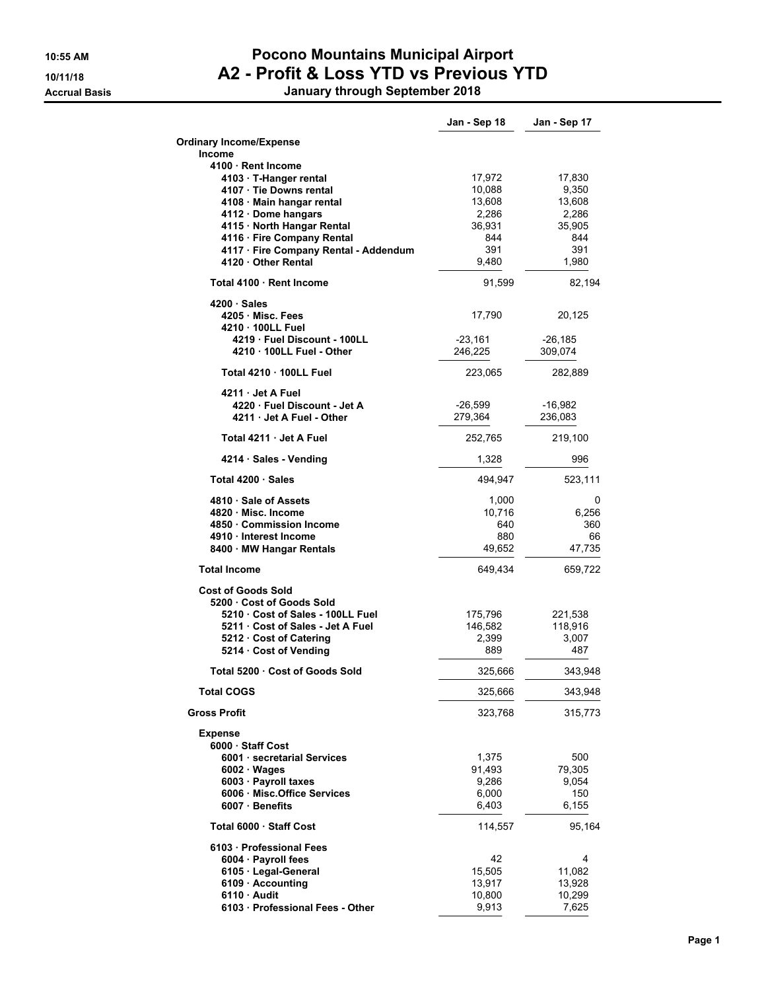#### **10:55 AM Pocono Mountains Municipal Airport 10/11/18 A2 - Profit & Loss YTD vs Previous YTD Accrual Basis January through September 2018**

|                                                                                                                                                                                                                                                     | Jan - Sep 18                                                         | Jan - Sep 17                                                        |
|-----------------------------------------------------------------------------------------------------------------------------------------------------------------------------------------------------------------------------------------------------|----------------------------------------------------------------------|---------------------------------------------------------------------|
| <b>Ordinary Income/Expense</b><br>Income                                                                                                                                                                                                            |                                                                      |                                                                     |
| 4100 Rent Income<br>4103 · T-Hanger rental<br>4107 · Tie Downs rental<br>4108 · Main hangar rental<br>4112 · Dome hangars<br>4115 · North Hangar Rental<br>4116 · Fire Company Rental<br>4117 · Fire Company Rental - Addendum<br>4120 Other Rental | 17,972<br>10,088<br>13,608<br>2,286<br>36,931<br>844<br>391<br>9,480 | 17,830<br>9,350<br>13,608<br>2,286<br>35,905<br>844<br>391<br>1,980 |
| Total 4100 Rent Income                                                                                                                                                                                                                              | 91,599                                                               | 82,194                                                              |
| $4200 \cdot Sales$<br>4205 Misc. Fees<br>4210 100LL Fuel<br>4219 Fuel Discount - 100LL<br>4210 . 100LL Fuel - Other                                                                                                                                 | 17,790<br>-23,161<br>246,225                                         | 20,125<br>$-26,185$<br>309,074                                      |
| Total 4210 100LL Fuel                                                                                                                                                                                                                               | 223,065                                                              | 282,889                                                             |
| 4211 Jet A Fuel<br>4220 Fuel Discount - Jet A<br>4211 · Jet A Fuel - Other                                                                                                                                                                          | $-26,599$<br>279,364                                                 | -16,982<br>236,083                                                  |
| Total 4211 Jet A Fuel                                                                                                                                                                                                                               | 252,765                                                              | 219,100                                                             |
| 4214 · Sales - Vending                                                                                                                                                                                                                              | 1,328                                                                | 996                                                                 |
| Total 4200 Sales                                                                                                                                                                                                                                    | 494,947                                                              | 523,111                                                             |
| 4810 Sale of Assets<br>4820 Misc. Income<br>4850 Commission Income<br>4910 · Interest Income<br>8400 · MW Hangar Rentals                                                                                                                            | 1,000<br>10,716<br>640<br>880<br>49,652                              | 0<br>6,256<br>360<br>66<br>47,735                                   |
| <b>Total Income</b>                                                                                                                                                                                                                                 | 649,434                                                              | 659,722                                                             |
| <b>Cost of Goods Sold</b><br>5200 Cost of Goods Sold<br>5210 Cost of Sales - 100LL Fuel<br>5211 Cost of Sales - Jet A Fuel<br>5212 Cost of Catering<br>5214 Cost of Vending                                                                         | 175,796<br>146,582<br>2,399<br>889                                   | 221,538<br>118,916<br>3,007<br>487                                  |
| Total 5200 · Cost of Goods Sold                                                                                                                                                                                                                     | 325,666                                                              | 343,948                                                             |
| <b>Total COGS</b>                                                                                                                                                                                                                                   | 325,666                                                              | 343,948                                                             |
| <b>Gross Profit</b>                                                                                                                                                                                                                                 | 323,768                                                              | 315,773                                                             |
| <b>Expense</b><br>6000 Staff Cost<br>6001 · secretarial Services<br>6002 · Wages<br>6003 · Payroll taxes<br>6006 Misc.Office Services<br>6007 · Benefits                                                                                            | 1,375<br>91,493<br>9,286<br>6,000<br>6,403                           | 500<br>79,305<br>9,054<br>150<br>6,155                              |
| Total 6000 Staff Cost                                                                                                                                                                                                                               | 114,557                                                              | 95,164                                                              |
| 6103 · Professional Fees<br>6004 · Payroll fees<br>6105 · Legal-General<br>6109 · Accounting<br>$6110 \cdot$ Audit<br>6103 · Professional Fees - Other                                                                                              | 42<br>15,505<br>13,917<br>10,800<br>9,913                            | 4<br>11,082<br>13,928<br>10,299<br>7,625                            |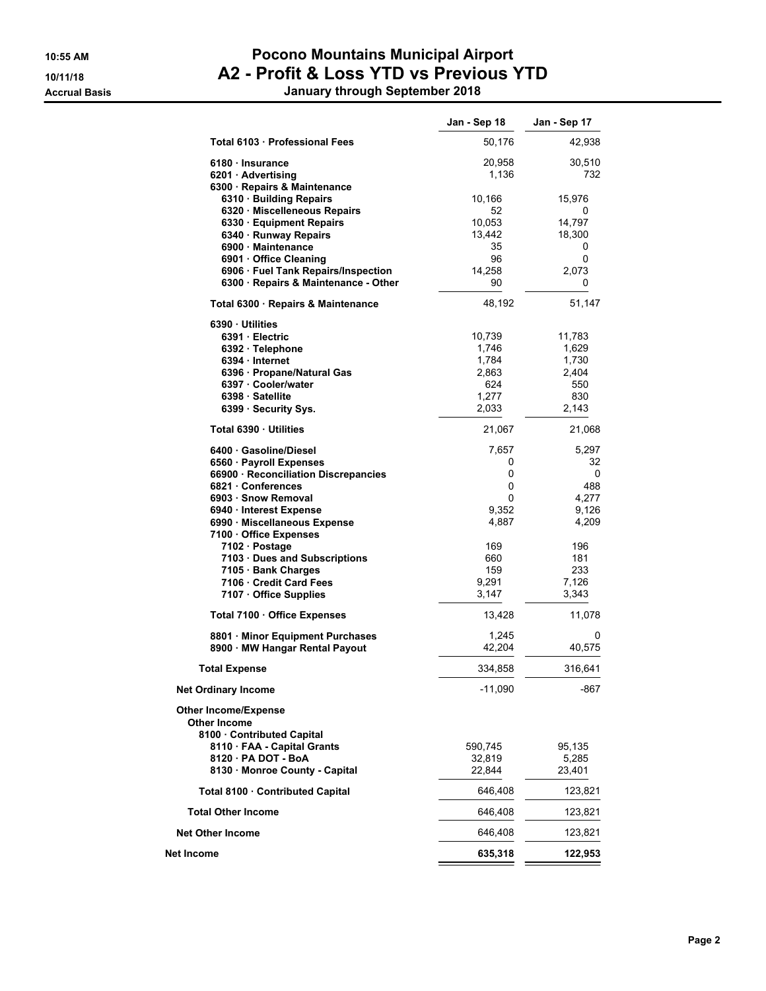#### **10:55 AM Pocono Mountains Municipal Airport 10/11/18 A2 - Profit & Loss YTD vs Previous YTD Accrual Basis January through September 2018**

|                                                                                                                                                                                               | Jan - Sep 18                                               | Jan - Sep 17                                             |
|-----------------------------------------------------------------------------------------------------------------------------------------------------------------------------------------------|------------------------------------------------------------|----------------------------------------------------------|
| Total 6103 Professional Fees                                                                                                                                                                  | 50,176                                                     | 42,938                                                   |
| 6180 · Insurance<br>6201 · Advertising<br>6300 · Repairs & Maintenance                                                                                                                        | 20,958<br>1,136                                            | 30,510<br>732                                            |
| 6310 · Building Repairs<br>6320 Miscelleneous Repairs<br>6330 · Equipment Repairs<br>6340 · Runway Repairs                                                                                    | 10,166<br>52<br>10,053<br>13,442                           | 15,976<br>0<br>14,797<br>18,300                          |
| 6900 Maintenance<br>6901 Office Cleaning<br>6906 · Fuel Tank Repairs/Inspection<br>6300 · Repairs & Maintenance - Other                                                                       | 35<br>96<br>14.258<br>90                                   | 0<br>0<br>2,073<br>0                                     |
| Total 6300 · Repairs & Maintenance                                                                                                                                                            | 48,192                                                     | 51,147                                                   |
| 6390 · Utilities<br>6391 · Electric<br>6392 · Telephone<br>6394 · Internet<br>6396 · Propane/Natural Gas<br>6397 Cooler/water<br>6398 · Satellite<br>6399 · Security Sys.                     | 10,739<br>1,746<br>1,784<br>2,863<br>624<br>1,277<br>2,033 | 11,783<br>1,629<br>1,730<br>2,404<br>550<br>830<br>2,143 |
| Total 6390 · Utilities                                                                                                                                                                        | 21,067                                                     | 21,068                                                   |
| 6400 Gasoline/Diesel<br>6560 · Payroll Expenses<br>66900 · Reconciliation Discrepancies<br>6821 Conferences<br>6903 · Snow Removal<br>6940 · Interest Expense<br>6990 · Miscellaneous Expense | 7,657<br>0<br>0<br>0<br>0<br>9,352<br>4,887                | 5,297<br>32<br>0<br>488<br>4,277<br>9,126<br>4,209       |
| 7100 Office Expenses<br>7102 · Postage<br>7103 Dues and Subscriptions<br>7105 · Bank Charges<br>7106 Credit Card Fees<br>7107 Office Supplies                                                 | 169<br>660<br>159<br>9,291<br>3,147                        | 196<br>181<br>233<br>7,126<br>3,343                      |
| Total 7100 · Office Expenses                                                                                                                                                                  | 13,428                                                     | 11,078                                                   |
| 8801 Minor Equipment Purchases<br>8900 · MW Hangar Rental Payout                                                                                                                              | 1,245<br>42,204                                            | 0<br>40,575                                              |
| <b>Total Expense</b>                                                                                                                                                                          | 334,858                                                    | 316,641                                                  |
| <b>Net Ordinary Income</b>                                                                                                                                                                    | -11,090                                                    | -867                                                     |
| Other Income/Expense<br>Other Income<br>8100 Contributed Capital<br>8110 · FAA - Capital Grants<br>8120 - PA DOT - BoA<br>8130 · Monroe County - Capital                                      | 590,745<br>32,819<br>22,844                                | 95,135<br>5,285<br>23,401                                |
| Total 8100 · Contributed Capital                                                                                                                                                              | 646,408                                                    | 123,821                                                  |
| <b>Total Other Income</b>                                                                                                                                                                     | 646,408                                                    | 123,821                                                  |
| <b>Net Other Income</b>                                                                                                                                                                       | 646,408                                                    | 123,821                                                  |
| Net Income                                                                                                                                                                                    | 635,318                                                    | 122,953                                                  |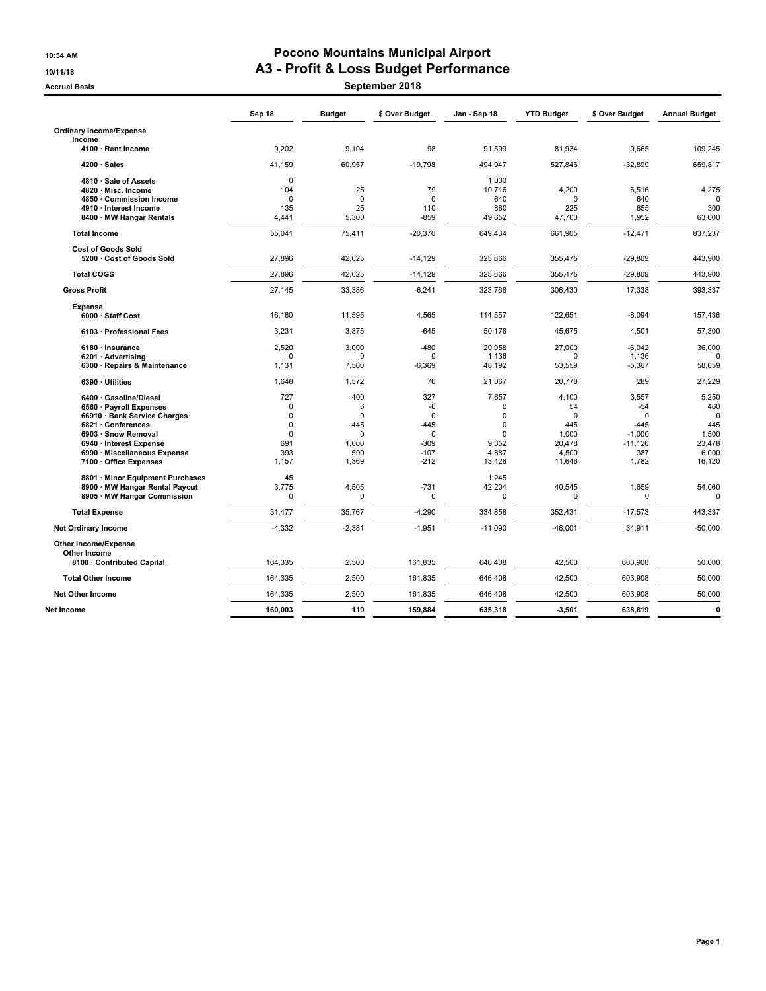#### **10:54 AM Pocono Mountains Municipal Airport 10/11/18 A3 - Profit & Loss Budget Performance**

**Accrual Basis September 2018**

|                                                        | Sep 18                     | <b>Budget</b>   | \$ Over Budget        | Jan - Sep 18            | <b>YTD Budget</b> | \$ Over Budget     | <b>Annual Budget</b> |
|--------------------------------------------------------|----------------------------|-----------------|-----------------------|-------------------------|-------------------|--------------------|----------------------|
| <b>Ordinary Income/Expense</b><br>Income               |                            |                 |                       |                         |                   |                    |                      |
| 4100 · Rent Income                                     | 9.202                      | 9.104           | 98                    | 91.599                  | 81.934            | 9.665              | 109.245              |
| $4200 \cdot Sales$                                     | 41,159                     | 60,957          | $-19,798$             | 494,947                 | 527,846           | $-32,899$          | 659,817              |
| 4810 · Sale of Assets                                  | $\mathbf 0$                |                 |                       | 1,000                   |                   |                    |                      |
| 4820 · Misc. Income                                    | 104                        | 25              | 79                    | 10.716                  | 4,200             | 6.516              | 4,275                |
| 4850 · Commission Income                               | $\Omega$                   | $\mathbf 0$     | $\Omega$              | 640                     | $\Omega$          | 640                |                      |
| 4910 · Interest Income                                 | 135                        | 25              | 110                   | 880                     | 225               | 655                | 300                  |
| 8400 · MW Hangar Rentals                               | 4,441                      | 5.300           | $-859$                | 49,652                  | 47,700            | 1,952              | 63.600               |
| <b>Total Income</b>                                    | 55,041                     | 75,411          | $-20,370$             | 649,434                 | 661,905           | $-12,471$          | 837,237              |
| <b>Cost of Goods Sold</b><br>5200 · Cost of Goods Sold | 27,896                     | 42,025          |                       | 325,666                 |                   |                    |                      |
|                                                        |                            |                 | $-14,129$             |                         | 355,475           | $-29,809$          | 443,900              |
| <b>Total COGS</b>                                      | 27,896                     | 42,025          | $-14,129$             | 325,666                 | 355,475           | $-29,809$          | 443,900              |
| <b>Gross Profit</b>                                    | 27,145                     | 33,386          | $-6,241$              | 323,768                 | 306,430           | 17,338             | 393,337              |
| <b>Expense</b>                                         |                            |                 |                       |                         |                   |                    |                      |
| 6000 · Staff Cost                                      | 16.160                     | 11,595          | 4,565                 | 114,557                 | 122,651           | $-8,094$           | 157,436              |
| 6103 · Professional Fees                               | 3,231                      | 3,875           | $-645$                | 50,176                  | 45,675            | 4,501              | 57,300               |
| 6180 · Insurance                                       | 2.520                      | 3,000           | $-480$                | 20.958                  | 27,000            | $-6.042$           | 36,000               |
| 6201 · Advertising                                     | $\Omega$                   | $\Omega$        | $\Omega$              | 1,136                   | $\Omega$          | 1,136              |                      |
| 6300 · Repairs & Maintenance                           | 1,131                      | 7,500           | $-6,369$              | 48,192                  | 53,559            | $-5,367$           | 58,059               |
| 6390 · Utilities                                       | 1,648                      | 1,572           | 76                    | 21,067                  | 20,778            | 289                | 27,229               |
| 6400 · Gasoline/Diesel                                 | 727                        | 400             | 327                   | 7,657                   | 4,100             | 3,557              | 5,250                |
| 6560 · Payroll Expenses                                | $\Omega$                   | 6               | -6                    | 0                       | 54                | $-54$              | 460                  |
| 66910 · Bank Service Charges                           | $\mathbf 0$<br>$\mathbf 0$ | $\Omega$        | $\Omega$              | $\mathbf 0$<br>$\Omega$ | $\Omega$<br>445   | $\Omega$           | O                    |
| 6821 · Conferences<br>6903 · Snow Removal              | $\mathbf 0$                | 445<br>$\Omega$ | $-445$<br>$\mathbf 0$ | $\Omega$                | 1.000             | $-445$<br>$-1,000$ | 445<br>1,500         |
| 6940 · Interest Expense                                | 691                        | 1.000           | $-309$                | 9.352                   | 20.478            | $-11.126$          | 23,478               |
| 6990 · Miscellaneous Expense                           | 393                        | 500             | $-107$                | 4.887                   | 4,500             | 387                | 6,000                |
| 7100 · Office Expenses                                 | 1.157                      | 1,369           | $-212$                | 13.428                  | 11,646            | 1.782              | 16,120               |
| 8801 · Minor Equipment Purchases                       | 45                         |                 |                       | 1.245                   |                   |                    |                      |
| 8900 · MW Hangar Rental Payout                         | 3,775                      | 4,505           | $-731$                | 42,204                  | 40,545            | 1,659              | 54,060               |
| 8905 · MW Hangar Commission                            | $\mathbf 0$                | 0               | $\Omega$              | 0                       | $\Omega$          | 0                  | $\mathbf 0$          |
| <b>Total Expense</b>                                   | 31.477                     | 35,767          | $-4,290$              | 334,858                 | 352,431           | $-17,573$          | 443,337              |
| <b>Net Ordinary Income</b>                             | $-4,332$                   | $-2,381$        | $-1,951$              | $-11,090$               | $-46,001$         | 34,911             | $-50,000$            |
| <b>Other Income/Expense</b>                            |                            |                 |                       |                         |                   |                    |                      |
| <b>Other Income</b><br>8100 · Contributed Capital      | 164,335                    | 2,500           | 161,835               | 646,408                 | 42,500            | 603,908            | 50,000               |
|                                                        |                            |                 |                       |                         |                   |                    |                      |
| <b>Total Other Income</b>                              | 164,335                    | 2,500           | 161,835               | 646,408                 | 42,500            | 603,908            | 50,000               |
| <b>Net Other Income</b>                                | 164,335                    | 2.500           | 161.835               | 646.408                 | 42.500            | 603.908            | 50,000               |
| Net Income                                             | 160,003                    | 119             | 159,884               | 635,318                 | $-3,501$          | 638,819            | $\mathbf{0}$         |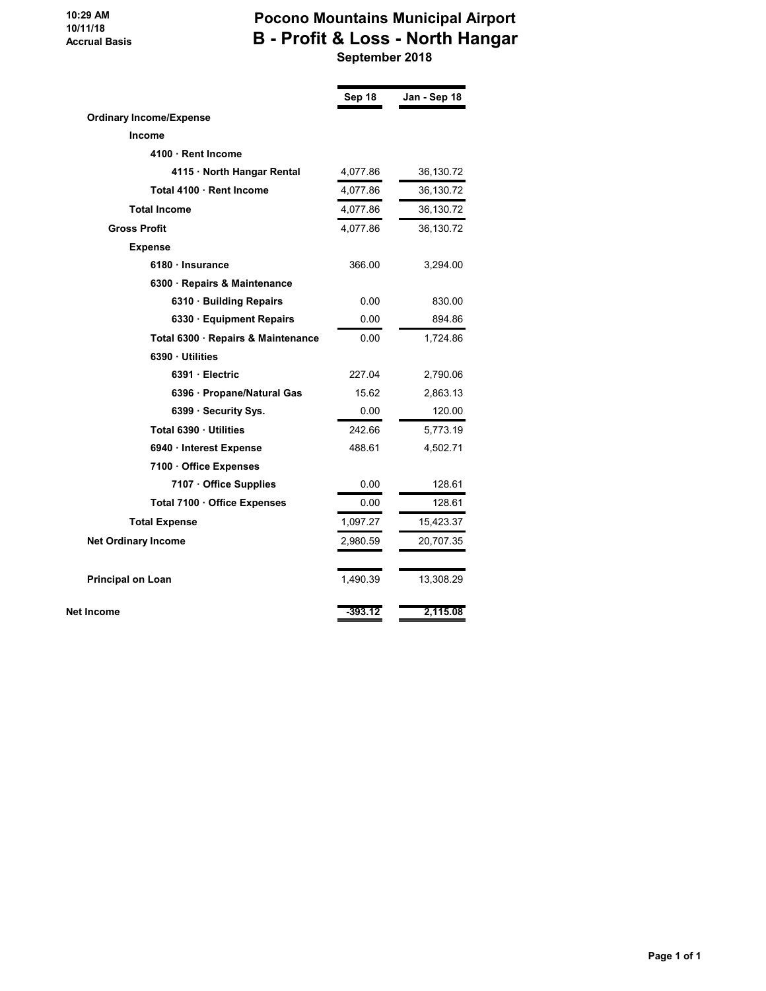#### **10:29 AM 10/11/18 Accrual Basis**

## **Pocono Mountains Municipal Airport B - Profit & Loss - North Hangar September 2018**

|                                    | Sep 18    | Jan - Sep 18 |
|------------------------------------|-----------|--------------|
| <b>Ordinary Income/Expense</b>     |           |              |
| <b>Income</b>                      |           |              |
| 4100 · Rent Income                 |           |              |
| 4115 · North Hangar Rental         | 4,077.86  | 36,130.72    |
| Total 4100 · Rent Income           | 4,077.86  | 36,130.72    |
| <b>Total Income</b>                | 4,077.86  | 36,130.72    |
| <b>Gross Profit</b>                | 4,077.86  | 36,130.72    |
| <b>Expense</b>                     |           |              |
| 6180 · Insurance                   | 366.00    | 3,294.00     |
| 6300 · Repairs & Maintenance       |           |              |
| 6310 · Building Repairs            | 0.00      | 830.00       |
| 6330 Equipment Repairs             | 0.00      | 894.86       |
| Total 6300 · Repairs & Maintenance | 0.00      | 1,724.86     |
| 6390 Utilities                     |           |              |
| 6391 Electric                      | 227.04    | 2,790.06     |
| 6396 · Propane/Natural Gas         | 15.62     | 2,863.13     |
| 6399 · Security Sys.               | 0.00      | 120.00       |
| Total 6390 · Utilities             | 242.66    | 5,773.19     |
| 6940 · Interest Expense            | 488.61    | 4,502.71     |
| 7100 Office Expenses               |           |              |
| 7107 · Office Supplies             | 0.00      | 128.61       |
| Total 7100 · Office Expenses       | 0.00      | 128.61       |
| <b>Total Expense</b>               | 1,097.27  | 15,423.37    |
| <b>Net Ordinary Income</b>         | 2,980.59  | 20,707.35    |
| <b>Principal on Loan</b>           | 1,490.39  | 13,308.29    |
| Net Income                         | $-393.12$ | 2,115.08     |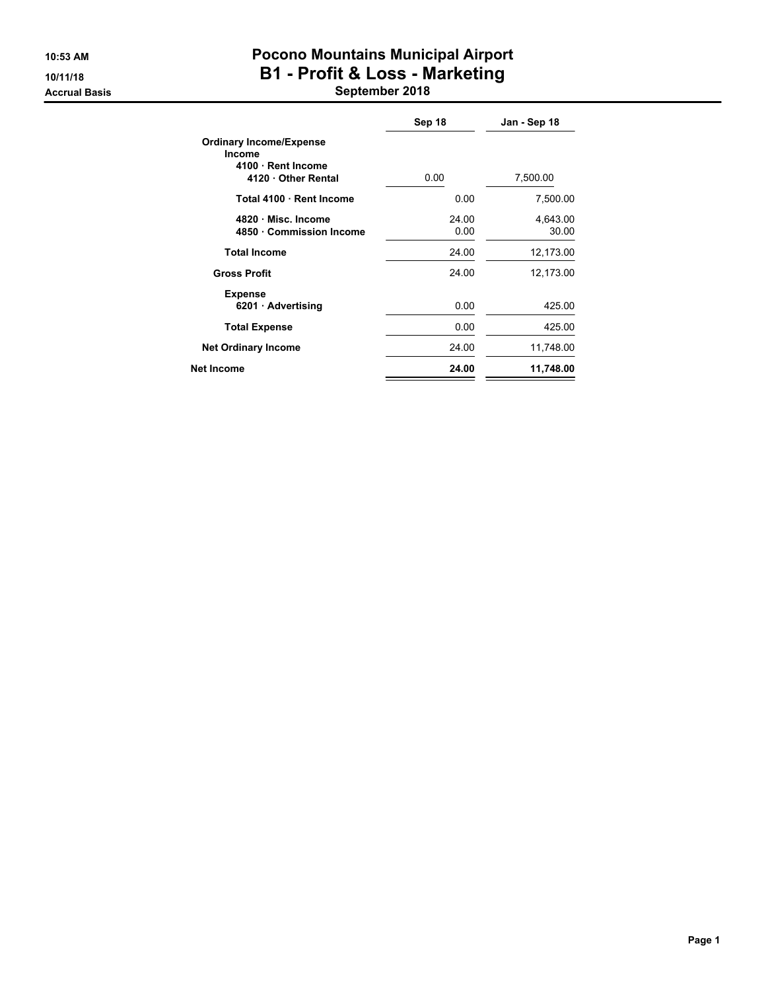# **10:53 AM Pocono Mountains Municipal Airport 10/11/18 B1 - Profit & Loss - Marketing**

**Accrual Basis September 2018**

|                                                                                            | Sep 18        | Jan - Sep 18      |
|--------------------------------------------------------------------------------------------|---------------|-------------------|
| <b>Ordinary Income/Expense</b><br><b>Income</b><br>4100 · Rent Income<br>4120 Other Rental | 0.00          | 7,500.00          |
| Total 4100 Rent Income                                                                     | 0.00          | 7,500.00          |
| 4820 Misc. Income<br>4850 Commission Income                                                | 24.00<br>0.00 | 4,643.00<br>30.00 |
| <b>Total Income</b>                                                                        | 24.00         | 12,173.00         |
| <b>Gross Profit</b>                                                                        | 24.00         | 12,173.00         |
| <b>Expense</b><br>6201 Advertising                                                         | 0.00          | 425.00            |
| <b>Total Expense</b>                                                                       | 0.00          | 425.00            |
| <b>Net Ordinary Income</b>                                                                 | 24.00         | 11,748.00         |
| Net Income                                                                                 | 24.00         | 11,748.00         |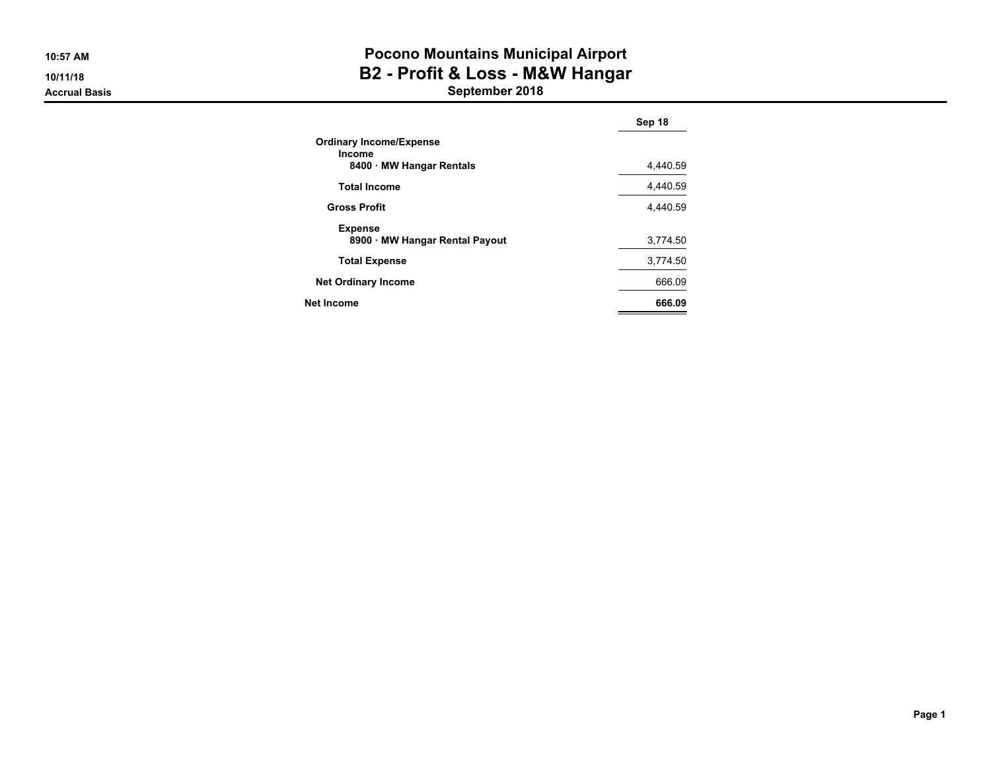**10:57 AM10/11/18**

## **Accrual Basis**

# **Pocono Mountains Municipal Airport B2 - Profit & Loss - M&W Hangar**

**September 2018**

|                                                  | Sep 18   |
|--------------------------------------------------|----------|
| <b>Ordinary Income/Expense</b><br><b>Income</b>  |          |
| 8400 MW Hangar Rentals                           | 4.440.59 |
| <b>Total Income</b>                              | 4.440.59 |
| <b>Gross Profit</b>                              | 4.440.59 |
| <b>Expense</b><br>8900 · MW Hangar Rental Payout | 3,774.50 |
| <b>Total Expense</b>                             | 3,774.50 |
| <b>Net Ordinary Income</b>                       | 666.09   |
| <b>Net Income</b>                                | 666.09   |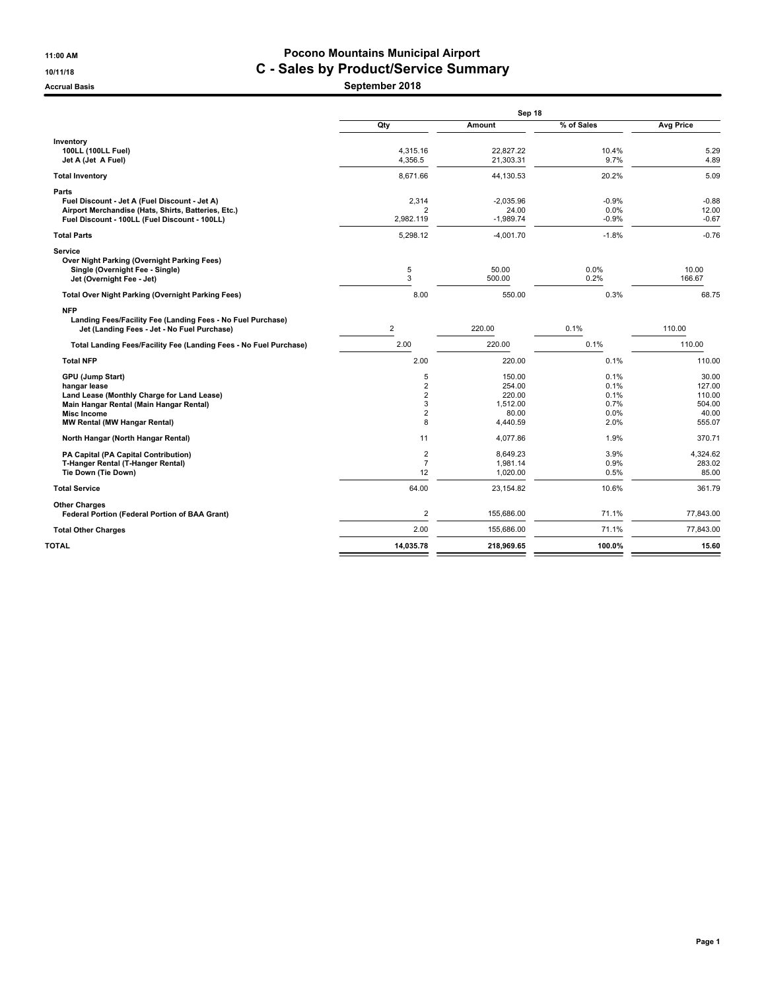#### **11:00 AM Pocono Mountains Municipal Airport 10/11/18 C - Sales by Product/Service Summary**

**Accrual Basis September 2018**

|                                                                                                            | Sep 18                      |                      |                 |                  |  |  |  |
|------------------------------------------------------------------------------------------------------------|-----------------------------|----------------------|-----------------|------------------|--|--|--|
|                                                                                                            | Qty                         | Amount               | % of Sales      | <b>Avg Price</b> |  |  |  |
| Inventory                                                                                                  |                             |                      |                 |                  |  |  |  |
| 100LL (100LL Fuel)                                                                                         | 4,315.16                    | 22,827.22            | 10.4%           | 5.29             |  |  |  |
| Jet A (Jet A Fuel)                                                                                         | 4,356.5                     | 21,303.31            | 9.7%            | 4.89             |  |  |  |
| <b>Total Inventory</b>                                                                                     | 8,671.66                    | 44,130.53            | 20.2%           | 5.09             |  |  |  |
| Parts                                                                                                      |                             |                      |                 |                  |  |  |  |
| Fuel Discount - Jet A (Fuel Discount - Jet A)                                                              | 2,314                       | $-2.035.96$          | $-0.9%$         | $-0.88$          |  |  |  |
| Airport Merchandise (Hats, Shirts, Batteries, Etc.)<br>Fuel Discount - 100LL (Fuel Discount - 100LL)       | $\overline{2}$<br>2,982.119 | 24.00<br>$-1,989.74$ | 0.0%<br>$-0.9%$ | 12.00<br>$-0.67$ |  |  |  |
|                                                                                                            |                             |                      |                 |                  |  |  |  |
| <b>Total Parts</b>                                                                                         | 5,298.12                    | $-4,001.70$          | $-1.8%$         | $-0.76$          |  |  |  |
| Service                                                                                                    |                             |                      |                 |                  |  |  |  |
| Over Night Parking (Overnight Parking Fees)                                                                | $\sqrt{5}$                  | 50.00                | 0.0%            | 10.00            |  |  |  |
| Single (Overnight Fee - Single)<br>Jet (Overnight Fee - Jet)                                               | 3                           | 500.00               | 0.2%            | 166.67           |  |  |  |
|                                                                                                            |                             |                      |                 |                  |  |  |  |
| <b>Total Over Night Parking (Overnight Parking Fees)</b>                                                   | 8.00                        | 550.00               | 0.3%            | 68.75            |  |  |  |
| <b>NFP</b>                                                                                                 |                             |                      |                 |                  |  |  |  |
| Landing Fees/Facility Fee (Landing Fees - No Fuel Purchase)<br>Jet (Landing Fees - Jet - No Fuel Purchase) | $\overline{2}$              | 220.00               | 0.1%            | 110.00           |  |  |  |
|                                                                                                            |                             |                      |                 |                  |  |  |  |
| Total Landing Fees/Facility Fee (Landing Fees - No Fuel Purchase)                                          | 2.00                        | 220.00               | 0.1%            | 110.00           |  |  |  |
| <b>Total NFP</b>                                                                                           | 2.00                        | 220.00               | 0.1%            | 110.00           |  |  |  |
| <b>GPU (Jump Start)</b>                                                                                    | 5                           | 150.00               | 0.1%            | 30.00            |  |  |  |
| hangar lease                                                                                               | $\overline{\mathbf{c}}$     | 254.00               | 0.1%            | 127.00           |  |  |  |
| Land Lease (Monthly Charge for Land Lease)                                                                 | $\overline{2}$              | 220.00               | 0.1%            | 110.00           |  |  |  |
| Main Hangar Rental (Main Hangar Rental)                                                                    | 3                           | 1.512.00             | 0.7%            | 504.00           |  |  |  |
| <b>Misc Income</b><br><b>MW Rental (MW Hangar Rental)</b>                                                  | $\overline{2}$<br>8         | 80.00<br>4,440.59    | 0.0%<br>2.0%    | 40.00<br>555.07  |  |  |  |
|                                                                                                            |                             |                      |                 |                  |  |  |  |
| North Hangar (North Hangar Rental)                                                                         | 11                          | 4,077.86             | 1.9%            | 370.71           |  |  |  |
| PA Capital (PA Capital Contribution)                                                                       | $\overline{\mathbf{c}}$     | 8,649.23             | 3.9%            | 4,324.62         |  |  |  |
| T-Hanger Rental (T-Hanger Rental)                                                                          | $\overline{7}$              | 1,981.14             | 0.9%            | 283.02           |  |  |  |
| Tie Down (Tie Down)                                                                                        | 12                          | 1,020.00             | 0.5%            | 85.00            |  |  |  |
| <b>Total Service</b>                                                                                       | 64.00                       | 23,154.82            | 10.6%           | 361.79           |  |  |  |
| <b>Other Charges</b>                                                                                       |                             |                      |                 |                  |  |  |  |
| Federal Portion (Federal Portion of BAA Grant)                                                             | 2                           | 155.686.00           | 71.1%           | 77.843.00        |  |  |  |
| <b>Total Other Charges</b>                                                                                 | 2.00                        | 155.686.00           | 71.1%           | 77.843.00        |  |  |  |
| TOTAL                                                                                                      | 14,035.78                   | 218,969.65           | 100.0%          | 15.60            |  |  |  |
|                                                                                                            |                             |                      |                 |                  |  |  |  |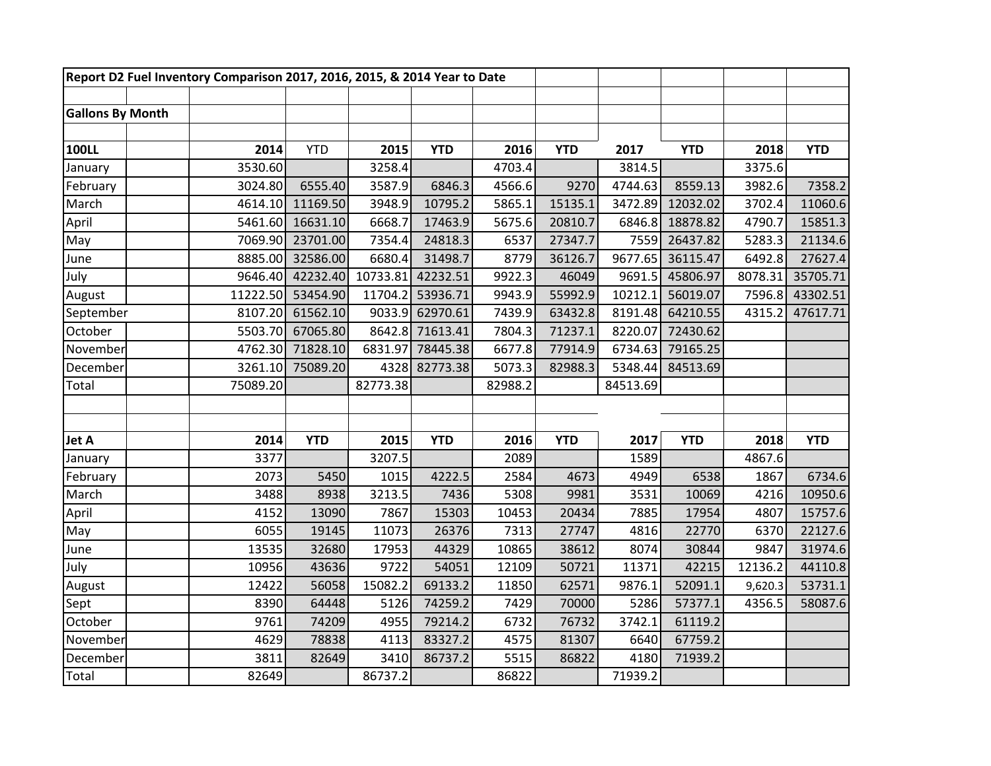|                         | Report D2 Fuel Inventory Comparison 2017, 2016, 2015, & 2014 Year to Date |            |          |            |         |            |          |            |         |            |
|-------------------------|---------------------------------------------------------------------------|------------|----------|------------|---------|------------|----------|------------|---------|------------|
|                         |                                                                           |            |          |            |         |            |          |            |         |            |
| <b>Gallons By Month</b> |                                                                           |            |          |            |         |            |          |            |         |            |
|                         |                                                                           |            |          |            |         |            |          |            |         |            |
| <b>100LL</b>            | 2014                                                                      | <b>YTD</b> | 2015     | <b>YTD</b> | 2016    | <b>YTD</b> | 2017     | <b>YTD</b> | 2018    | <b>YTD</b> |
| January                 | 3530.60                                                                   |            | 3258.4   |            | 4703.4  |            | 3814.5   |            | 3375.6  |            |
| February                | 3024.80                                                                   | 6555.40    | 3587.9   | 6846.3     | 4566.6  | 9270       | 4744.63  | 8559.13    | 3982.6  | 7358.2     |
| March                   | 4614.10                                                                   | 11169.50   | 3948.9   | 10795.2    | 5865.1  | 15135.1    | 3472.89  | 12032.02   | 3702.4  | 11060.6    |
| April                   | 5461.60                                                                   | 16631.10   | 6668.7   | 17463.9    | 5675.6  | 20810.7    | 6846.8   | 18878.82   | 4790.7  | 15851.3    |
| May                     | 7069.90                                                                   | 23701.00   | 7354.4   | 24818.3    | 6537    | 27347.7    | 7559     | 26437.82   | 5283.3  | 21134.6    |
| June                    | 8885.00                                                                   | 32586.00   | 6680.4   | 31498.7    | 8779    | 36126.7    | 9677.65  | 36115.47   | 6492.8  | 27627.4    |
| July                    | 9646.40                                                                   | 42232.40   | 10733.81 | 42232.51   | 9922.3  | 46049      | 9691.5   | 45806.97   | 8078.31 | 35705.71   |
| August                  | 11222.50                                                                  | 53454.90   | 11704.2  | 53936.71   | 9943.9  | 55992.9    | 10212.1  | 56019.07   | 7596.8  | 43302.51   |
| September               | 8107.20                                                                   | 61562.10   | 9033.9   | 62970.61   | 7439.9  | 63432.8    | 8191.48  | 64210.55   | 4315.2  | 47617.71   |
| October                 | 5503.70                                                                   | 67065.80   | 8642.8   | 71613.41   | 7804.3  | 71237.1    | 8220.07  | 72430.62   |         |            |
| November                | 4762.30                                                                   | 71828.10   | 6831.97  | 78445.38   | 6677.8  | 77914.9    | 6734.63  | 79165.25   |         |            |
| December                | 3261.10                                                                   | 75089.20   | 4328     | 82773.38   | 5073.3  | 82988.3    | 5348.44  | 84513.69   |         |            |
| Total                   | 75089.20                                                                  |            | 82773.38 |            | 82988.2 |            | 84513.69 |            |         |            |
|                         |                                                                           |            |          |            |         |            |          |            |         |            |
|                         |                                                                           |            |          |            |         |            |          |            |         |            |
| Jet A                   | 2014                                                                      | <b>YTD</b> | 2015     | <b>YTD</b> | 2016    | <b>YTD</b> | 2017     | <b>YTD</b> | 2018    | <b>YTD</b> |
| January                 | 3377                                                                      |            | 3207.5   |            | 2089    |            | 1589     |            | 4867.6  |            |
| February                | 2073                                                                      | 5450       | 1015     | 4222.5     | 2584    | 4673       | 4949     | 6538       | 1867    | 6734.6     |
| March                   | 3488                                                                      | 8938       | 3213.5   | 7436       | 5308    | 9981       | 3531     | 10069      | 4216    | 10950.6    |
| April                   | 4152                                                                      | 13090      | 7867     | 15303      | 10453   | 20434      | 7885     | 17954      | 4807    | 15757.6    |
| May                     | 6055                                                                      | 19145      | 11073    | 26376      | 7313    | 27747      | 4816     | 22770      | 6370    | 22127.6    |
| June                    | 13535                                                                     | 32680      | 17953    | 44329      | 10865   | 38612      | 8074     | 30844      | 9847    | 31974.6    |
| July                    | 10956                                                                     | 43636      | 9722     | 54051      | 12109   | 50721      | 11371    | 42215      | 12136.2 | 44110.8    |
| August                  | 12422                                                                     | 56058      | 15082.2  | 69133.2    | 11850   | 62571      | 9876.1   | 52091.1    | 9,620.3 | 53731.1    |
| Sept                    | 8390                                                                      | 64448      | 5126     | 74259.2    | 7429    | 70000      | 5286     | 57377.1    | 4356.5  | 58087.6    |
| October                 | 9761                                                                      | 74209      | 4955     | 79214.2    | 6732    | 76732      | 3742.1   | 61119.2    |         |            |
| November                | 4629                                                                      | 78838      | 4113     | 83327.2    | 4575    | 81307      | 6640     | 67759.2    |         |            |
| December                | 3811                                                                      | 82649      | 3410     | 86737.2    | 5515    | 86822      | 4180     | 71939.2    |         |            |
| Total                   | 82649                                                                     |            | 86737.2  |            | 86822   |            | 71939.2  |            |         |            |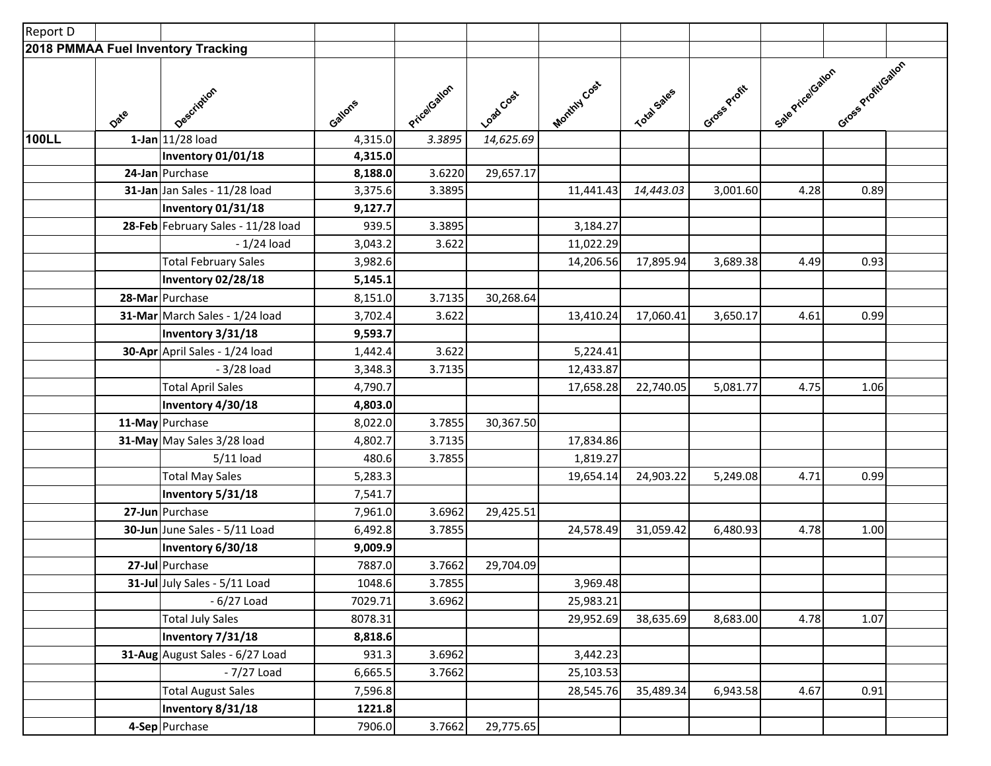| Report D                           |      |                                    |         |             |           |              |             |              |                  |                   |  |
|------------------------------------|------|------------------------------------|---------|-------------|-----------|--------------|-------------|--------------|------------------|-------------------|--|
| 2018 PMMAA Fuel Inventory Tracking |      |                                    |         |             |           |              |             |              |                  |                   |  |
|                                    | Date | Description                        | Gallons | Pricatallon | Loadcost  | Monthly Cost | Total Sales | Gross Profit | Sale Price Gaton | Gross ProfitGaton |  |
| 100LL                              |      | 1-Jan 11/28 load                   | 4,315.0 | 3.3895      | 14,625.69 |              |             |              |                  |                   |  |
|                                    |      | Inventory 01/01/18                 | 4,315.0 |             |           |              |             |              |                  |                   |  |
|                                    |      | 24-Jan Purchase                    | 8,188.0 | 3.6220      | 29,657.17 |              |             |              |                  |                   |  |
|                                    |      | 31-Jan Jan Sales - 11/28 load      | 3,375.6 | 3.3895      |           | 11,441.43    | 14,443.03   | 3,001.60     | 4.28             | 0.89              |  |
|                                    |      | Inventory 01/31/18                 | 9,127.7 |             |           |              |             |              |                  |                   |  |
|                                    |      | 28-Feb February Sales - 11/28 load | 939.5   | 3.3895      |           | 3,184.27     |             |              |                  |                   |  |
|                                    |      | $-1/24$ load                       | 3,043.2 | 3.622       |           | 11,022.29    |             |              |                  |                   |  |
|                                    |      | <b>Total February Sales</b>        | 3,982.6 |             |           | 14,206.56    | 17,895.94   | 3,689.38     | 4.49             | 0.93              |  |
|                                    |      | Inventory 02/28/18                 | 5,145.1 |             |           |              |             |              |                  |                   |  |
|                                    |      | 28-Mar Purchase                    | 8,151.0 | 3.7135      | 30,268.64 |              |             |              |                  |                   |  |
|                                    |      | 31-Mar March Sales - 1/24 load     | 3,702.4 | 3.622       |           | 13,410.24    | 17,060.41   | 3,650.17     | 4.61             | 0.99              |  |
|                                    |      | Inventory 3/31/18                  | 9,593.7 |             |           |              |             |              |                  |                   |  |
|                                    |      | 30-Apr April Sales - 1/24 load     | 1,442.4 | 3.622       |           | 5,224.41     |             |              |                  |                   |  |
|                                    |      | - 3/28 load                        | 3,348.3 | 3.7135      |           | 12,433.87    |             |              |                  |                   |  |
|                                    |      | <b>Total April Sales</b>           | 4,790.7 |             |           | 17,658.28    | 22,740.05   | 5,081.77     | 4.75             | 1.06              |  |
|                                    |      | Inventory 4/30/18                  | 4,803.0 |             |           |              |             |              |                  |                   |  |
|                                    |      | 11-May Purchase                    | 8,022.0 | 3.7855      | 30,367.50 |              |             |              |                  |                   |  |
|                                    |      | 31-May May Sales 3/28 load         | 4,802.7 | 3.7135      |           | 17,834.86    |             |              |                  |                   |  |
|                                    |      | $5/11$ load                        | 480.6   | 3.7855      |           | 1,819.27     |             |              |                  |                   |  |
|                                    |      | <b>Total May Sales</b>             | 5,283.3 |             |           | 19,654.14    | 24,903.22   | 5,249.08     | 4.71             | 0.99              |  |
|                                    |      | Inventory 5/31/18                  | 7,541.7 |             |           |              |             |              |                  |                   |  |
|                                    |      | 27-Jun Purchase                    | 7,961.0 | 3.6962      | 29,425.51 |              |             |              |                  |                   |  |
|                                    |      | 30-Jun June Sales - 5/11 Load      | 6,492.8 | 3.7855      |           | 24,578.49    | 31,059.42   | 6,480.93     | 4.78             | 1.00              |  |
|                                    |      | Inventory 6/30/18                  | 9,009.9 |             |           |              |             |              |                  |                   |  |
|                                    |      | 27-Jul Purchase                    | 7887.0  | 3.7662      | 29,704.09 |              |             |              |                  |                   |  |
|                                    |      | 31-Jul July Sales - 5/11 Load      | 1048.6  | 3.7855      |           | 3,969.48     |             |              |                  |                   |  |
|                                    |      | $-6/27$ Load                       | 7029.71 | 3.6962      |           | 25,983.21    |             |              |                  |                   |  |
|                                    |      | <b>Total July Sales</b>            | 8078.31 |             |           | 29,952.69    | 38,635.69   | 8,683.00     | 4.78             | 1.07              |  |
|                                    |      | Inventory 7/31/18                  | 8,818.6 |             |           |              |             |              |                  |                   |  |
|                                    |      | 31-Aug August Sales - 6/27 Load    | 931.3   | 3.6962      |           | 3,442.23     |             |              |                  |                   |  |
|                                    |      | - 7/27 Load                        | 6,665.5 | 3.7662      |           | 25,103.53    |             |              |                  |                   |  |
|                                    |      | <b>Total August Sales</b>          | 7,596.8 |             |           | 28,545.76    | 35,489.34   | 6,943.58     | 4.67             | 0.91              |  |
|                                    |      | Inventory 8/31/18                  | 1221.8  |             |           |              |             |              |                  |                   |  |
|                                    |      | 4-Sep Purchase                     | 7906.0  | 3.7662      | 29,775.65 |              |             |              |                  |                   |  |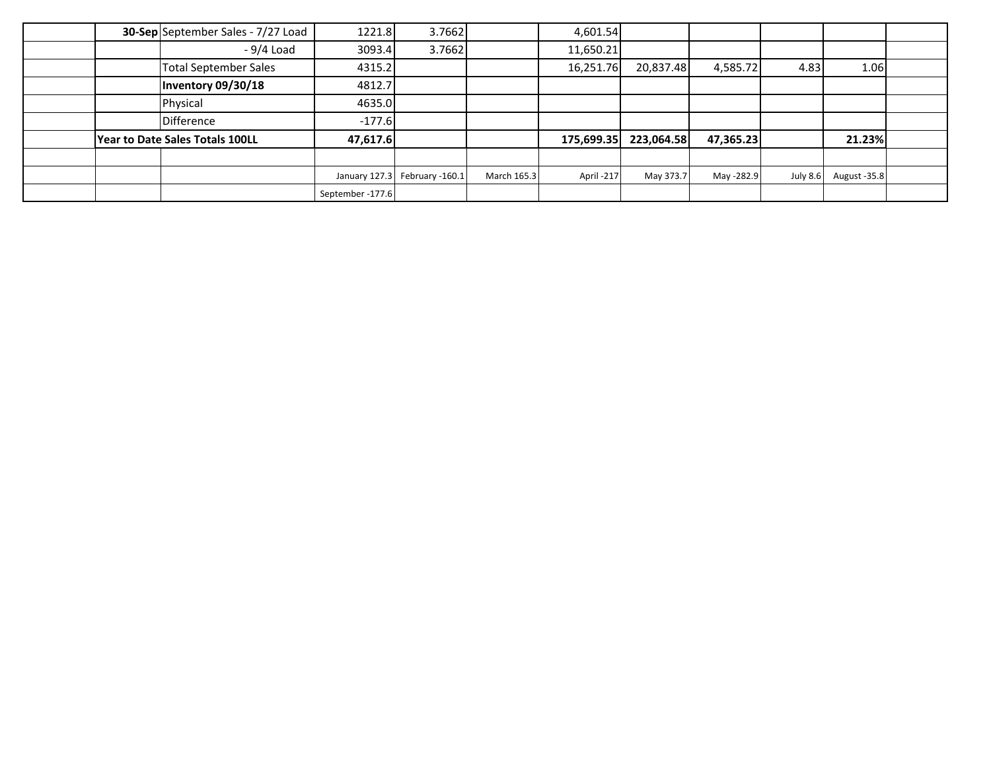| 30-Sep September Sales - 7/27 Load | 1221.8           | 3.7662                           |             | 4,601.54   |            |            |          |              |  |
|------------------------------------|------------------|----------------------------------|-------------|------------|------------|------------|----------|--------------|--|
| - 9/4 Load                         | 3093.4           | 3.7662                           |             | 11,650.21  |            |            |          |              |  |
| <b>Total September Sales</b>       | 4315.2           |                                  |             | 16,251.76  | 20,837.48  | 4,585.72   | 4.83     | 1.06         |  |
| Inventory 09/30/18                 | 4812.7           |                                  |             |            |            |            |          |              |  |
| Physical                           | 4635.0           |                                  |             |            |            |            |          |              |  |
| <b>Difference</b>                  | $-177.6$         |                                  |             |            |            |            |          |              |  |
| Year to Date Sales Totals 100LL    | 47,617.6         |                                  |             | 175,699.35 | 223,064.58 | 47,365.23  |          | 21.23%       |  |
|                                    |                  |                                  |             |            |            |            |          |              |  |
|                                    |                  | January 127.3<br>February -160.1 | March 165.3 | April-217  | May 373.7  | May -282.9 | July 8.6 | August -35.8 |  |
|                                    | September -177.6 |                                  |             |            |            |            |          |              |  |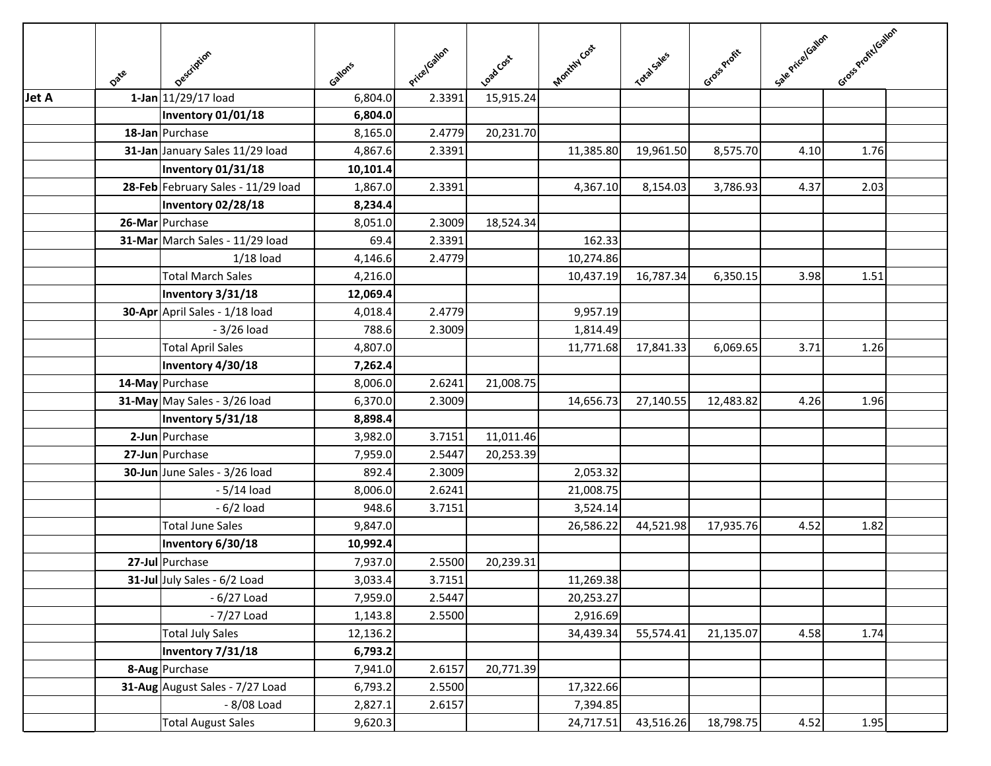|              | Date | Description                        | Gallons  | PricelGallon | Load Cost | Monthly Cost | Total Sales | Gross Profit | Sale Price (Salon | Gross Profit/Gallon |  |
|--------------|------|------------------------------------|----------|--------------|-----------|--------------|-------------|--------------|-------------------|---------------------|--|
| <b>Jet A</b> |      | 1-Jan 11/29/17 load                | 6,804.0  | 2.3391       | 15,915.24 |              |             |              |                   |                     |  |
|              |      | <b>Inventory 01/01/18</b>          | 6,804.0  |              |           |              |             |              |                   |                     |  |
|              |      | 18-Jan Purchase                    | 8,165.0  | 2.4779       | 20,231.70 |              |             |              |                   |                     |  |
|              |      | 31-Jan January Sales 11/29 load    | 4,867.6  | 2.3391       |           | 11,385.80    | 19,961.50   | 8,575.70     | 4.10              | 1.76                |  |
|              |      | Inventory 01/31/18                 | 10,101.4 |              |           |              |             |              |                   |                     |  |
|              |      | 28-Feb February Sales - 11/29 load | 1,867.0  | 2.3391       |           | 4,367.10     | 8,154.03    | 3,786.93     | 4.37              | 2.03                |  |
|              |      | Inventory 02/28/18                 | 8,234.4  |              |           |              |             |              |                   |                     |  |
|              |      | 26-Mar Purchase                    | 8,051.0  | 2.3009       | 18,524.34 |              |             |              |                   |                     |  |
|              |      | 31-Mar March Sales - 11/29 load    | 69.4     | 2.3391       |           | 162.33       |             |              |                   |                     |  |
|              |      | $1/18$ load                        | 4,146.6  | 2.4779       |           | 10,274.86    |             |              |                   |                     |  |
|              |      | <b>Total March Sales</b>           | 4,216.0  |              |           | 10,437.19    | 16,787.34   | 6,350.15     | 3.98              | 1.51                |  |
|              |      | Inventory 3/31/18                  | 12,069.4 |              |           |              |             |              |                   |                     |  |
|              |      | 30-Apr April Sales - 1/18 load     | 4,018.4  | 2.4779       |           | 9,957.19     |             |              |                   |                     |  |
|              |      | $-3/26$ load                       | 788.6    | 2.3009       |           | 1,814.49     |             |              |                   |                     |  |
|              |      | <b>Total April Sales</b>           | 4,807.0  |              |           | 11,771.68    | 17,841.33   | 6,069.65     | 3.71              | 1.26                |  |
|              |      | Inventory 4/30/18                  | 7,262.4  |              |           |              |             |              |                   |                     |  |
|              |      | 14-May Purchase                    | 8,006.0  | 2.6241       | 21,008.75 |              |             |              |                   |                     |  |
|              |      | 31-May May Sales - 3/26 load       | 6,370.0  | 2.3009       |           | 14,656.73    | 27,140.55   | 12,483.82    | 4.26              | 1.96                |  |
|              |      | Inventory 5/31/18                  | 8,898.4  |              |           |              |             |              |                   |                     |  |
|              |      | 2-Jun Purchase                     | 3,982.0  | 3.7151       | 11,011.46 |              |             |              |                   |                     |  |
|              |      | 27-Jun Purchase                    | 7,959.0  | 2.5447       | 20,253.39 |              |             |              |                   |                     |  |
|              |      | 30-Jun June Sales - 3/26 load      | 892.4    | 2.3009       |           | 2,053.32     |             |              |                   |                     |  |
|              |      | $-5/14$ load                       | 8,006.0  | 2.6241       |           | 21,008.75    |             |              |                   |                     |  |
|              |      | $-6/2$ load                        | 948.6    | 3.7151       |           | 3,524.14     |             |              |                   |                     |  |
|              |      | <b>Total June Sales</b>            | 9,847.0  |              |           | 26,586.22    | 44,521.98   | 17,935.76    | 4.52              | 1.82                |  |
|              |      | Inventory 6/30/18                  | 10,992.4 |              |           |              |             |              |                   |                     |  |
|              |      | 27-Jul Purchase                    | 7,937.0  | 2.5500       | 20,239.31 |              |             |              |                   |                     |  |
|              |      | 31-Jul July Sales - 6/2 Load       | 3,033.4  | 3.7151       |           | 11,269.38    |             |              |                   |                     |  |
|              |      | $-6/27$ Load                       | 7,959.0  | 2.5447       |           | 20,253.27    |             |              |                   |                     |  |
|              |      | - 7/27 Load                        | 1,143.8  | 2.5500       |           | 2,916.69     |             |              |                   |                     |  |
|              |      | <b>Total July Sales</b>            | 12,136.2 |              |           | 34,439.34    | 55,574.41   | 21,135.07    | 4.58              | 1.74                |  |
|              |      | Inventory 7/31/18                  | 6,793.2  |              |           |              |             |              |                   |                     |  |
|              |      | 8-Aug Purchase                     | 7,941.0  | 2.6157       | 20,771.39 |              |             |              |                   |                     |  |
|              |      | 31-Aug August Sales - 7/27 Load    | 6,793.2  | 2.5500       |           | 17,322.66    |             |              |                   |                     |  |
|              |      | - 8/08 Load                        | 2,827.1  | 2.6157       |           | 7,394.85     |             |              |                   |                     |  |
|              |      | <b>Total August Sales</b>          | 9,620.3  |              |           | 24,717.51    | 43,516.26   | 18,798.75    | 4.52              | 1.95                |  |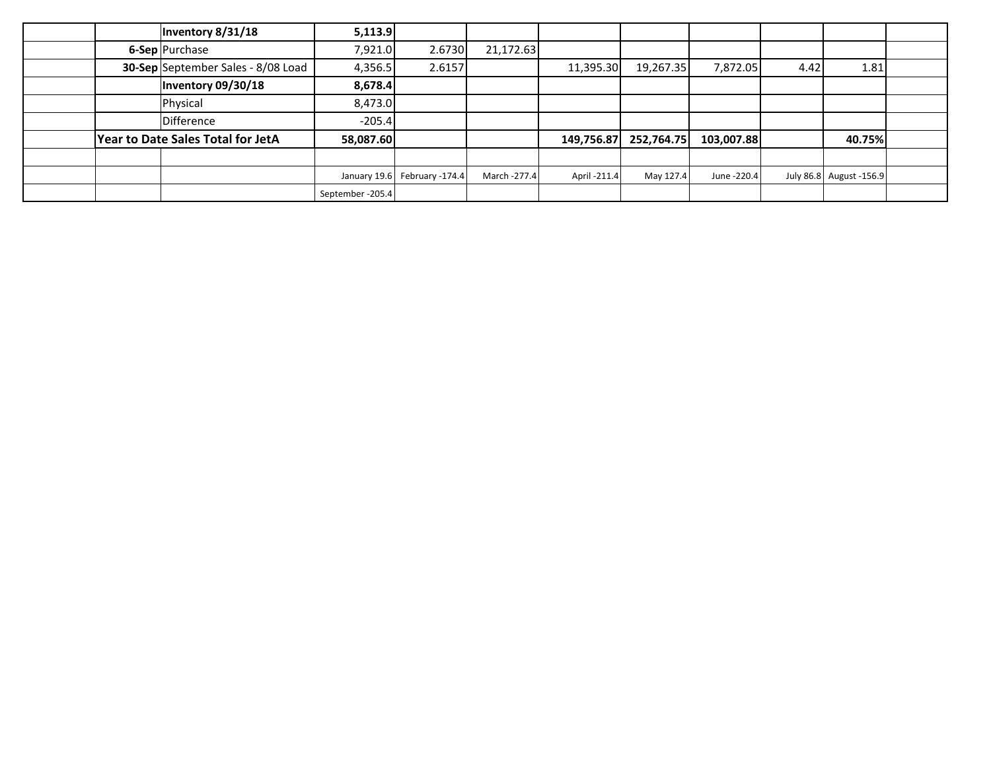| Inventory 8/31/18                         | 5,113.9           |                              |              |              |            |             |      |                         |  |
|-------------------------------------------|-------------------|------------------------------|--------------|--------------|------------|-------------|------|-------------------------|--|
| 6-Sep Purchase                            | 7,921.0           | 2.6730                       | 21,172.63    |              |            |             |      |                         |  |
| <b>30-Sep</b> September Sales - 8/08 Load | 4,356.5           | 2.6157                       |              | 11,395.30    | 19,267.35  | 7,872.05    | 4.42 | 1.81                    |  |
| Inventory 09/30/18                        | 8,678.4           |                              |              |              |            |             |      |                         |  |
| Physical                                  | 8,473.0           |                              |              |              |            |             |      |                         |  |
| Difference                                | $-205.4$          |                              |              |              |            |             |      |                         |  |
| <b>Year to Date Sales Total for JetA</b>  | 58,087.60         |                              |              | 149,756.87   | 252,764.75 | 103,007.88  |      | 40.75%                  |  |
|                                           |                   |                              |              |              |            |             |      |                         |  |
|                                           |                   | January 19.6 February -174.4 | March -277.4 | April -211.4 | May 127.4  | June -220.4 |      | July 86.8 August -156.9 |  |
|                                           | September - 205.4 |                              |              |              |            |             |      |                         |  |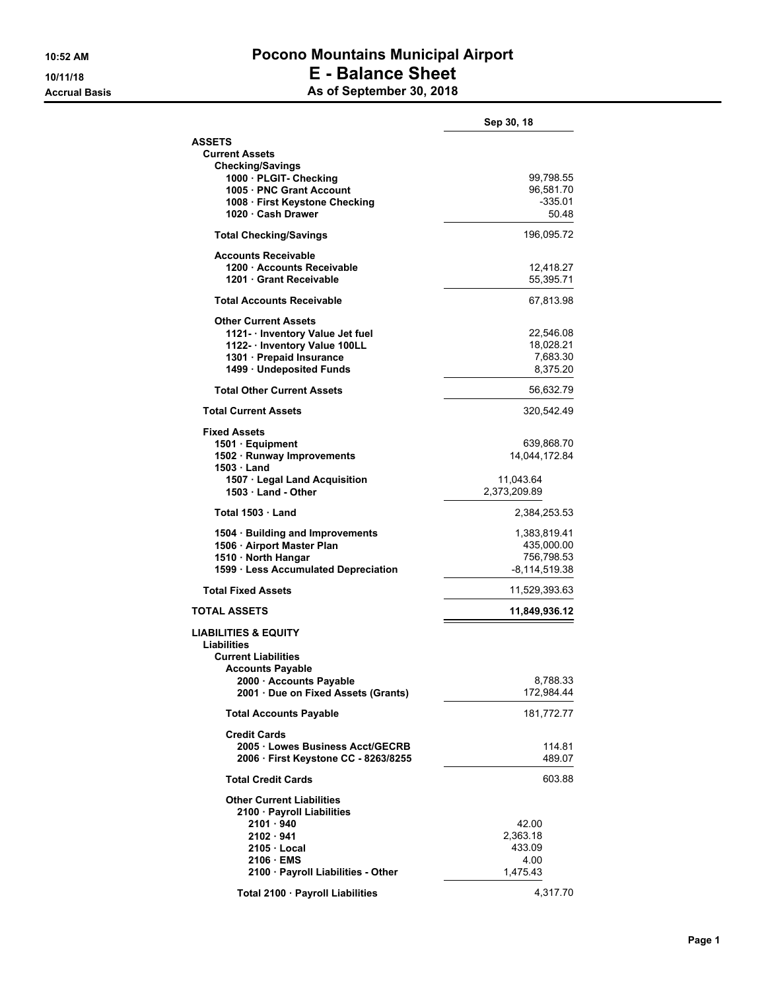#### **10:52 AM Pocono Mountains Municipal Airport 10/11/18 E - Balance Sheet Accrual Basis As of September 30, 2018**

|                                                    | Sep 30, 18                  |
|----------------------------------------------------|-----------------------------|
| <b>ASSETS</b>                                      |                             |
| <b>Current Assets</b>                              |                             |
| <b>Checking/Savings</b><br>1000 PLGIT- Checking    | 99,798.55                   |
| 1005 PNC Grant Account                             | 96,581.70                   |
| 1008 · First Keystone Checking                     | $-335.01$                   |
| 1020 · Cash Drawer                                 | 50.48                       |
| <b>Total Checking/Savings</b>                      | 196,095.72                  |
| <b>Accounts Receivable</b>                         |                             |
| 1200 · Accounts Receivable                         | 12,418.27                   |
| 1201 Grant Receivable                              | 55,395.71                   |
| <b>Total Accounts Receivable</b>                   | 67,813.98                   |
| <b>Other Current Assets</b>                        |                             |
| 1121 - Inventory Value Jet fuel                    | 22,546.08                   |
| 1122- Inventory Value 100LL                        | 18,028.21                   |
| 1301 · Prepaid Insurance                           | 7,683.30                    |
| 1499 · Undeposited Funds                           | 8,375.20                    |
| <b>Total Other Current Assets</b>                  | 56,632.79                   |
| <b>Total Current Assets</b>                        | 320,542.49                  |
| <b>Fixed Assets</b>                                |                             |
| 1501 Equipment<br>1502 · Runway Improvements       | 639,868.70<br>14,044,172.84 |
| 1503 Land                                          |                             |
| 1507 · Legal Land Acquisition                      | 11,043.64                   |
| 1503 Land - Other                                  | 2,373,209.89                |
| Total 1503 Land                                    | 2,384,253.53                |
| 1504 · Building and Improvements                   | 1,383,819.41                |
| 1506 · Airport Master Plan                         | 435,000.00                  |
| 1510 · North Hangar                                | 756,798.53                  |
| 1599 · Less Accumulated Depreciation               | -8,114,519.38               |
| <b>Total Fixed Assets</b>                          | 11,529,393.63               |
| <b>TOTAL ASSETS</b>                                | 11,849,936.12               |
| <b>LIABILITIES &amp; EQUITY</b>                    |                             |
| Liabilities                                        |                             |
| <b>Current Liabilities</b>                         |                             |
| <b>Accounts Payable</b><br>2000 · Accounts Payable | 8,788.33                    |
| 2001 · Due on Fixed Assets (Grants)                | 172,984.44                  |
| <b>Total Accounts Payable</b>                      | 181,772.77                  |
| <b>Credit Cards</b>                                |                             |
| 2005 · Lowes Business Acct/GECRB                   | 114.81                      |
| 2006 · First Keystone CC - 8263/8255               | 489.07                      |
| <b>Total Credit Cards</b>                          | 603.88                      |
| <b>Other Current Liabilities</b>                   |                             |
| 2100 · Payroll Liabilities                         |                             |
| 2101 · 940                                         | 42.00                       |
| $2102 \cdot 941$                                   | 2,363.18                    |
| $2105 \cdot$ Local<br>2106 · EMS                   | 433.09<br>4.00              |
| 2100 · Payroll Liabilities - Other                 | 1,475.43                    |
|                                                    |                             |
| Total 2100 · Payroll Liabilities                   | 4,317.70                    |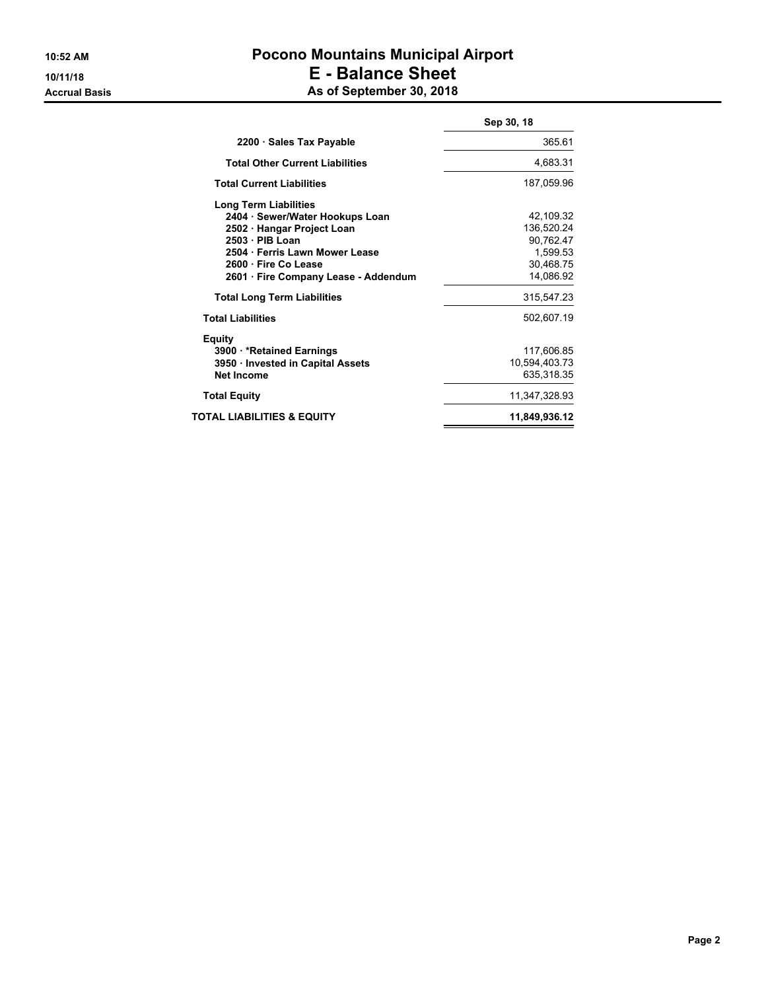## **10:52 AM Pocono Mountains Municipal Airport 10/11/18 E - Balance Sheet Accrual Basis As of September 30, 2018**

|                                        | Sep 30, 18    |
|----------------------------------------|---------------|
| 2200 · Sales Tax Payable               | 365.61        |
| <b>Total Other Current Liabilities</b> | 4,683.31      |
| <b>Total Current Liabilities</b>       | 187,059.96    |
| <b>Long Term Liabilities</b>           |               |
| 2404 · Sewer/Water Hookups Loan        | 42,109.32     |
| 2502 · Hangar Project Loan             | 136,520.24    |
| 2503 · PIB Loan                        | 90,762.47     |
| 2504 Ferris Lawn Mower Lease           | 1,599.53      |
| 2600 · Fire Co Lease                   | 30,468.75     |
| 2601 · Fire Company Lease - Addendum   | 14,086.92     |
| <b>Total Long Term Liabilities</b>     | 315,547.23    |
| <b>Total Liabilities</b>               | 502,607.19    |
| <b>Equity</b>                          |               |
| 3900 *Retained Earnings                | 117,606.85    |
| 3950 Invested in Capital Assets        | 10,594,403.73 |
| Net Income                             | 635,318.35    |
| <b>Total Equity</b>                    | 11,347,328.93 |
| TOTAL LIABILITIES & EQUITY             | 11,849,936.12 |
|                                        |               |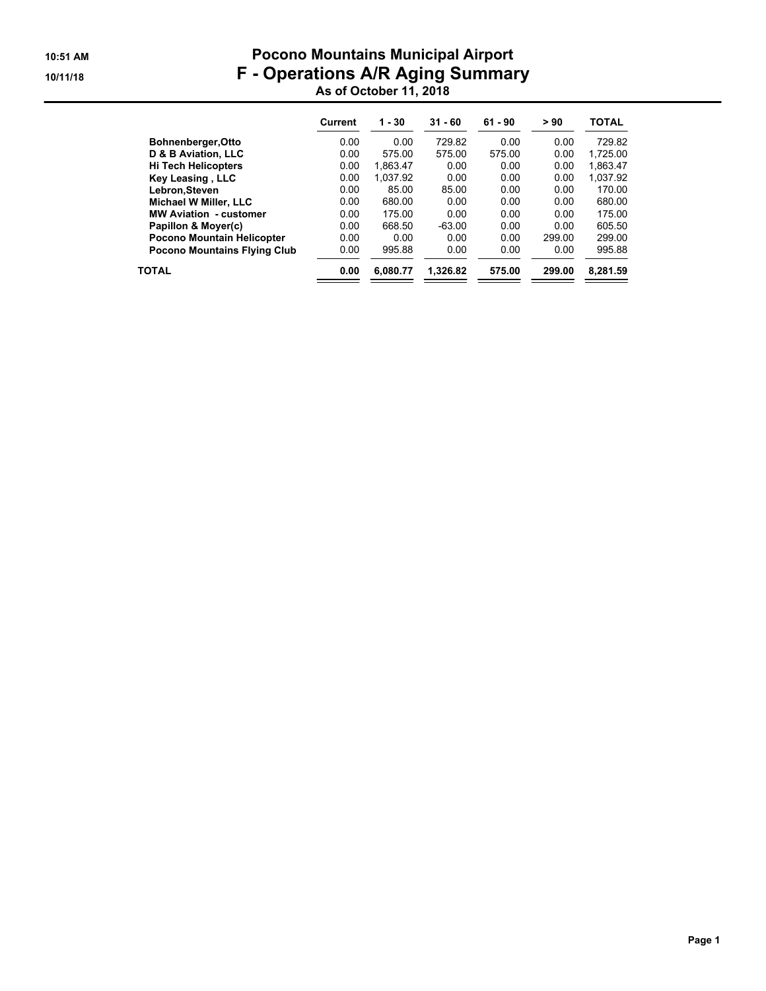## **10:51 AM Pocono Mountains Municipal Airport 10/11/18 F - Operations A/R Aging Summary As of October 11, 2018**

|                                     | Current | $1 - 30$ | $31 - 60$ | $61 - 90$ | > 90   | <b>TOTAL</b> |
|-------------------------------------|---------|----------|-----------|-----------|--------|--------------|
| <b>Bohnenberger, Otto</b>           | 0.00    | 0.00     | 729.82    | 0.00      | 0.00   | 729.82       |
| D & B Aviation, LLC                 | 0.00    | 575.00   | 575.00    | 575.00    | 0.00   | 1.725.00     |
| <b>Hi Tech Helicopters</b>          | 0.00    | 1.863.47 | 0.00      | 0.00      | 0.00   | 1.863.47     |
| Key Leasing, LLC                    | 0.00    | 1.037.92 | 0.00      | 0.00      | 0.00   | 1.037.92     |
| Lebron.Steven                       | 0.00    | 85.00    | 85.00     | 0.00      | 0.00   | 170.00       |
| Michael W Miller, LLC               | 0.00    | 680.00   | 0.00      | 0.00      | 0.00   | 680.00       |
| <b>MW Aviation - customer</b>       | 0.00    | 175.00   | 0.00      | 0.00      | 0.00   | 175.00       |
| Papillon & Moyer(c)                 | 0.00    | 668.50   | $-63.00$  | 0.00      | 0.00   | 605.50       |
| Pocono Mountain Helicopter          | 0.00    | 0.00     | 0.00      | 0.00      | 299.00 | 299.00       |
| <b>Pocono Mountains Flying Club</b> | 0.00    | 995.88   | 0.00      | 0.00      | 0.00   | 995.88       |
| <b>TOTAL</b>                        | 0.00    | 6.080.77 | 1.326.82  | 575.00    | 299.00 | 8.281.59     |
|                                     |         |          |           |           |        |              |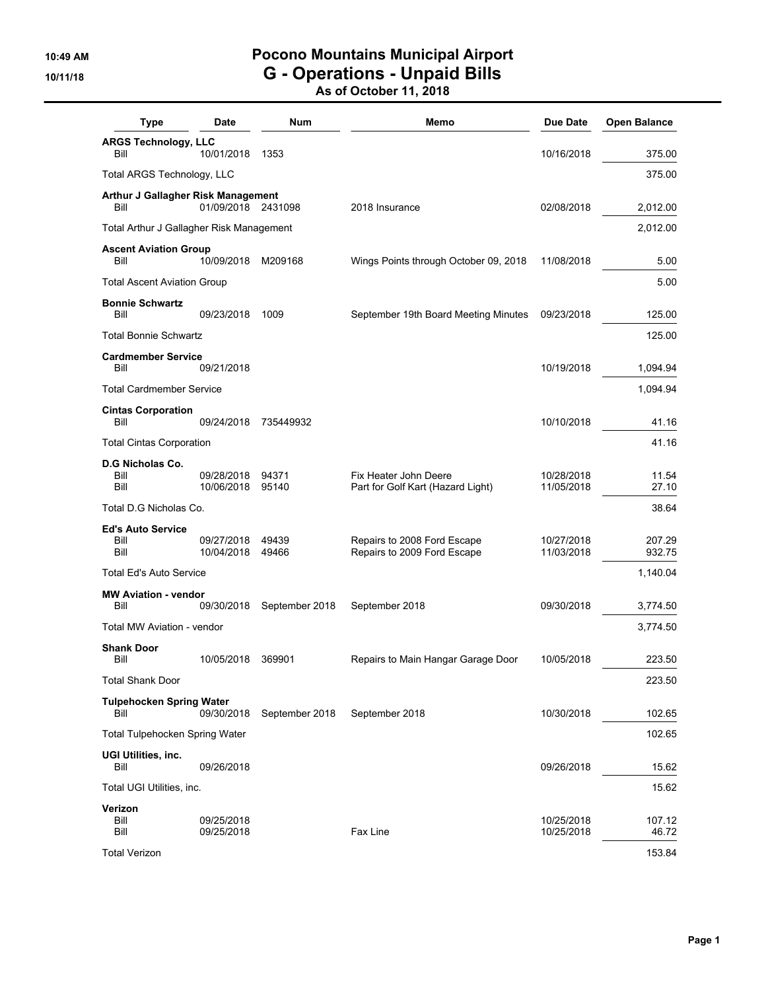## **10:49 AM Pocono Mountains Municipal Airport 10/11/18 G - Operations - Unpaid Bills**

**As of October 11, 2018**

| <b>Type</b>                              | Date                     | Num            | Memo                                                       | Due Date                 | <b>Open Balance</b> |
|------------------------------------------|--------------------------|----------------|------------------------------------------------------------|--------------------------|---------------------|
| <b>ARGS Technology, LLC</b><br>Bill      | 10/01/2018               | 1353           |                                                            | 10/16/2018               | 375.00              |
| Total ARGS Technology, LLC               |                          |                |                                                            |                          | 375.00              |
| Arthur J Gallagher Risk Management       |                          |                |                                                            |                          |                     |
| Bill                                     | 01/09/2018 2431098       |                | 2018 Insurance                                             | 02/08/2018               | 2,012.00            |
| Total Arthur J Gallagher Risk Management |                          |                |                                                            |                          | 2,012.00            |
| <b>Ascent Aviation Group</b><br>Bill     | 10/09/2018               | M209168        | Wings Points through October 09, 2018                      | 11/08/2018               | 5.00                |
| <b>Total Ascent Aviation Group</b>       |                          |                |                                                            |                          | 5.00                |
| <b>Bonnie Schwartz</b><br>Bill           | 09/23/2018               | 1009           | September 19th Board Meeting Minutes                       | 09/23/2018               | 125.00              |
| <b>Total Bonnie Schwartz</b>             |                          |                |                                                            |                          | 125.00              |
| <b>Cardmember Service</b><br>Bill        | 09/21/2018               |                |                                                            | 10/19/2018               | 1,094.94            |
| <b>Total Cardmember Service</b>          |                          |                |                                                            |                          | 1,094.94            |
| <b>Cintas Corporation</b>                |                          |                |                                                            |                          |                     |
| Bill                                     | 09/24/2018               | 735449932      |                                                            | 10/10/2018               | 41.16               |
| <b>Total Cintas Corporation</b>          |                          |                |                                                            |                          | 41.16               |
| <b>D.G Nicholas Co.</b><br>Bill<br>Bill  | 09/28/2018<br>10/06/2018 | 94371<br>95140 | Fix Heater John Deere<br>Part for Golf Kart (Hazard Light) | 10/28/2018<br>11/05/2018 | 11.54<br>27.10      |
| Total D.G Nicholas Co.                   |                          |                |                                                            |                          | 38.64               |
| <b>Ed's Auto Service</b>                 |                          |                |                                                            |                          |                     |
| Bill<br>Bill                             | 09/27/2018<br>10/04/2018 | 49439<br>49466 | Repairs to 2008 Ford Escape<br>Repairs to 2009 Ford Escape | 10/27/2018<br>11/03/2018 | 207.29<br>932.75    |
| <b>Total Ed's Auto Service</b>           |                          |                |                                                            |                          | 1,140.04            |
| <b>MW Aviation - vendor</b><br>Bill      | 09/30/2018               | September 2018 | September 2018                                             | 09/30/2018               | 3,774.50            |
| Total MW Aviation - vendor               |                          |                |                                                            |                          | 3,774.50            |
| <b>Shank Door</b><br>Bill                | 10/05/2018               | 369901         | Repairs to Main Hangar Garage Door                         | 10/05/2018               | 223.50              |
| <b>Total Shank Door</b>                  |                          |                |                                                            |                          | 223.50              |
| <b>Tulpehocken Spring Water</b>          |                          |                |                                                            |                          |                     |
| Bill                                     | 09/30/2018               | September 2018 | September 2018                                             | 10/30/2018               | 102.65              |
| Total Tulpehocken Spring Water           |                          |                |                                                            |                          | 102.65              |
| UGI Utilities, inc.<br>Bill              | 09/26/2018               |                |                                                            | 09/26/2018               | 15.62               |
| Total UGI Utilities, inc.                |                          |                |                                                            |                          | 15.62               |
| Verizon                                  |                          |                |                                                            |                          |                     |
| Bill<br>Bill                             | 09/25/2018<br>09/25/2018 |                | Fax Line                                                   | 10/25/2018<br>10/25/2018 | 107.12<br>46.72     |
| <b>Total Verizon</b>                     |                          |                |                                                            |                          | 153.84              |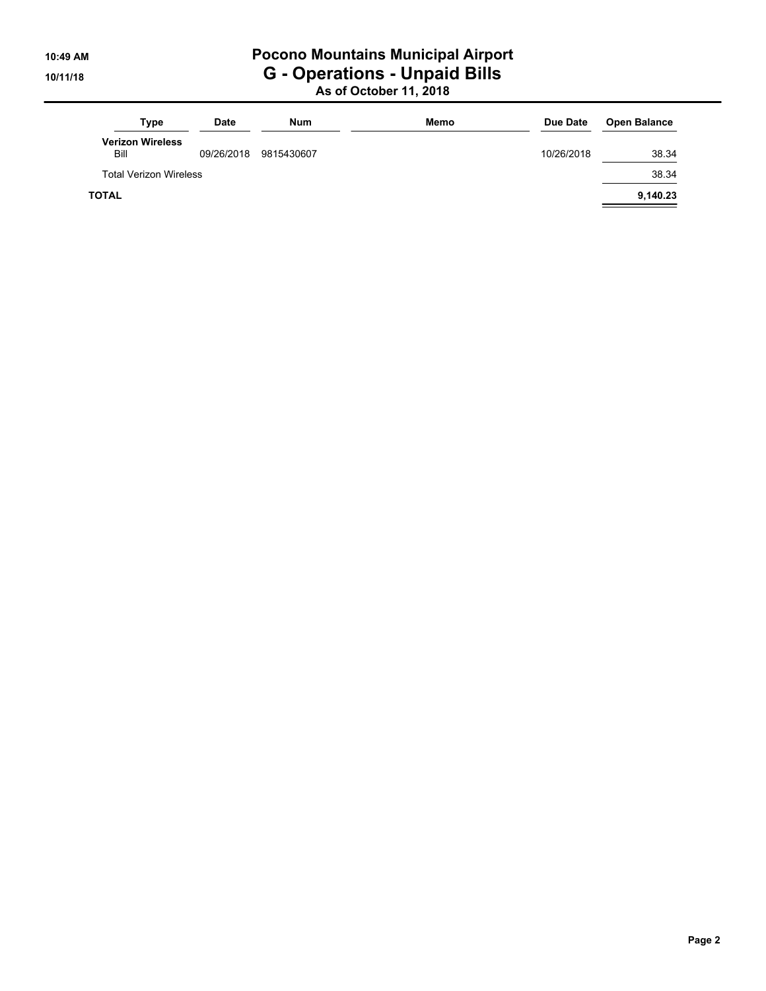# **10:49 AM Pocono Mountains Municipal Airport 10/11/18 G - Operations - Unpaid Bills**

**As of October 11, 2018**

| Type                            | <b>Date</b> | <b>Num</b> | Memo | Due Date   | <b>Open Balance</b> |
|---------------------------------|-------------|------------|------|------------|---------------------|
| <b>Verizon Wireless</b><br>Bill | 09/26/2018  | 9815430607 |      | 10/26/2018 | 38.34               |
| <b>Total Verizon Wireless</b>   |             |            |      |            | 38.34               |
| <b>TOTAL</b>                    |             |            |      |            | 9,140.23            |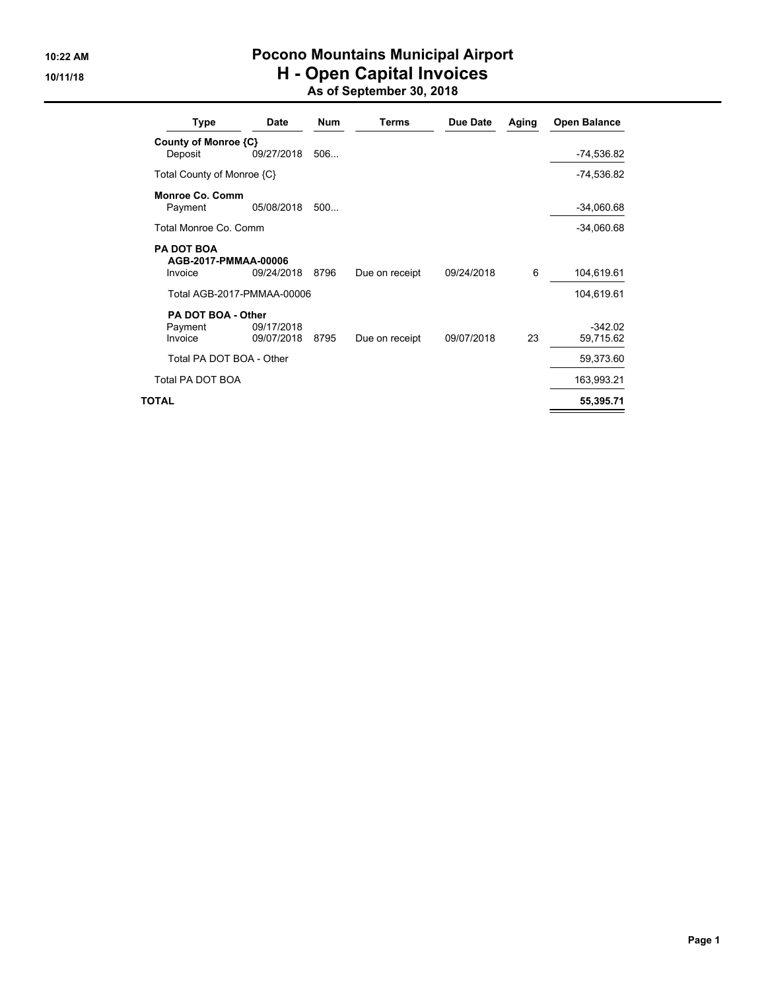## **10:22 AM Pocono Mountains Municipal Airport 10/11/18 H - Open Capital Invoices As of September 30, 2018**

| Type                                                 | Date                     | <b>Num</b> | <b>Terms</b>   | Due Date   | Aging | <b>Open Balance</b>    |
|------------------------------------------------------|--------------------------|------------|----------------|------------|-------|------------------------|
| County of Monroe {C}                                 |                          |            |                |            |       |                        |
| Deposit                                              | 09/27/2018               | 506        |                |            |       | -74,536.82             |
| Total County of Monroe {C}                           |                          |            |                |            |       | -74,536.82             |
| Monroe Co. Comm<br>Payment                           | 05/08/2018               | 500        |                |            |       | $-34,060.68$           |
| Total Monroe Co. Comm                                |                          |            |                |            |       | $-34,060.68$           |
| <b>PA DOT BOA</b><br>AGB-2017-PMMAA-00006<br>Invoice | 09/24/2018               | 8796       | Due on receipt | 09/24/2018 | 6     | 104,619.61             |
| Total AGB-2017-PMMAA-00006                           |                          |            |                |            |       | 104,619.61             |
| PA DOT BOA - Other                                   |                          |            |                |            |       |                        |
| Payment<br>Invoice                                   | 09/17/2018<br>09/07/2018 | 8795       | Due on receipt | 09/07/2018 | 23    | $-342.02$<br>59,715.62 |
| Total PA DOT BOA - Other                             |                          |            |                |            |       | 59,373.60              |
| <b>Total PA DOT BOA</b>                              |                          |            |                |            |       | 163,993.21             |
| TOTAL                                                |                          |            |                |            |       | 55,395.71              |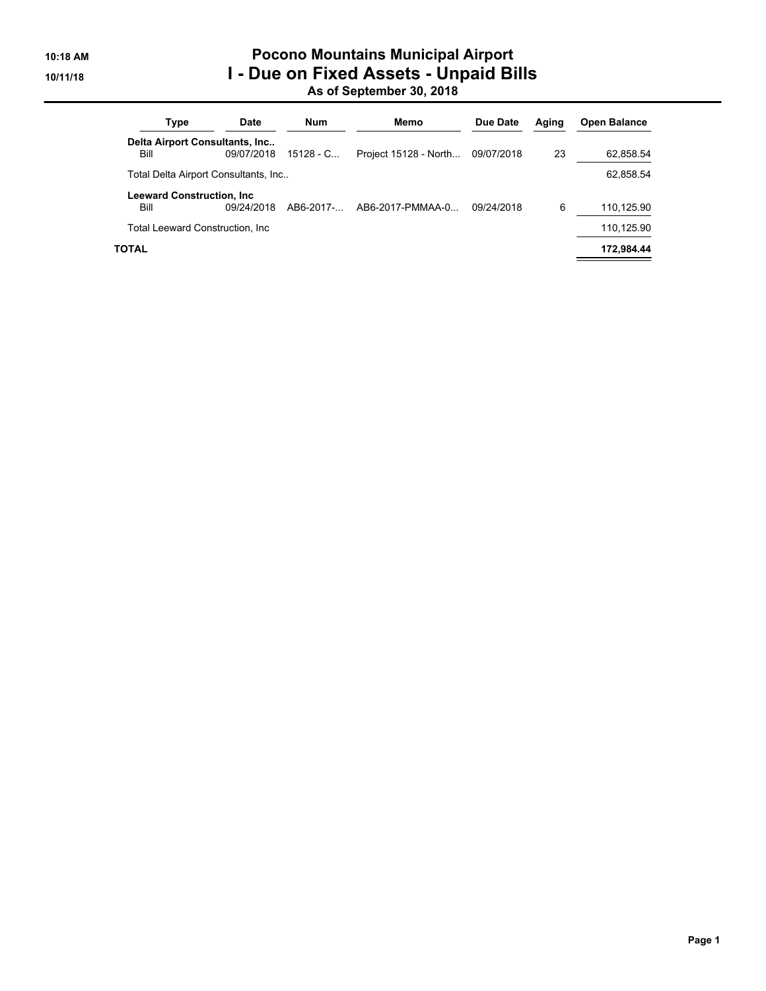## **10:18 AM Pocono Mountains Municipal Airport 10/11/18 I - Due on Fixed Assets - Unpaid Bills As of September 30, 2018**

| Type                                      | <b>Date</b> | Num         | Memo                  | Due Date   | Aging | <b>Open Balance</b> |
|-------------------------------------------|-------------|-------------|-----------------------|------------|-------|---------------------|
| Delta Airport Consultants, Inc<br>Bill    | 09/07/2018  | $15128 - C$ | Project 15128 - North | 09/07/2018 | 23    | 62.858.54           |
| Total Delta Airport Consultants, Inc      |             |             |                       |            |       | 62,858.54           |
| <b>Leeward Construction, Inc.</b><br>Bill | 09/24/2018  | AB6-2017-   | AB6-2017-PMMAA-0      | 09/24/2018 | 6     | 110.125.90          |
| Total Leeward Construction, Inc.          |             |             |                       |            |       | 110,125.90          |
| TOTAL                                     |             |             |                       |            |       | 172.984.44          |
|                                           |             |             |                       |            |       |                     |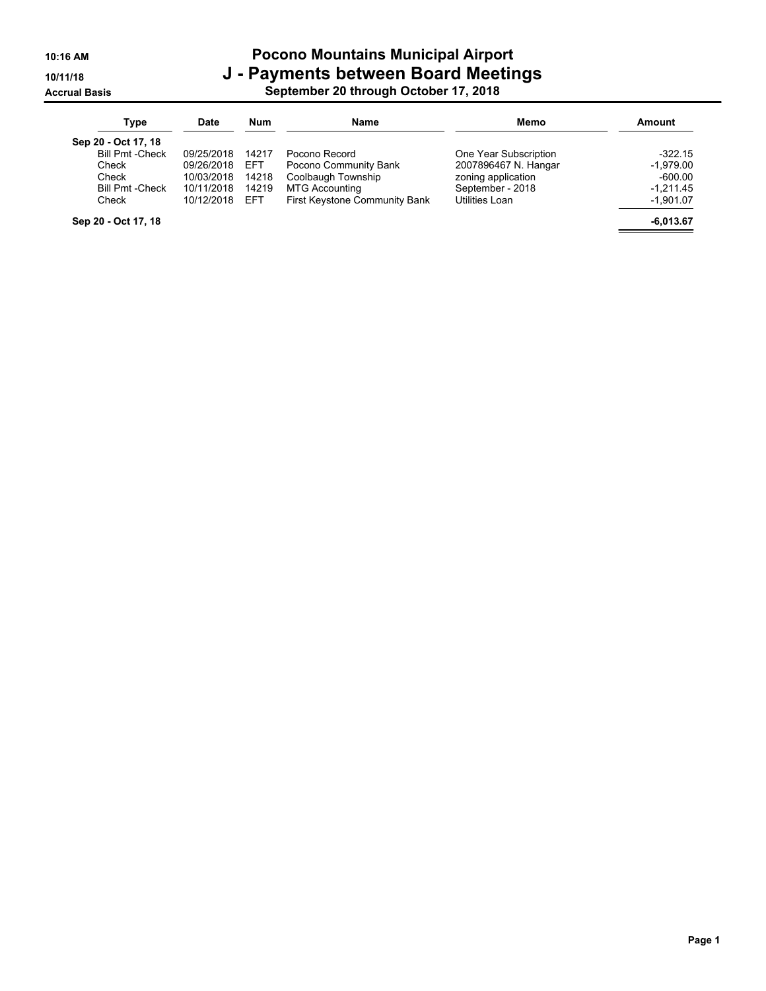#### **10:16 AM Pocono Mountains Municipal Airport 10/11/18 J - Payments between Board Meetings Accrual Basis September 20 through October 17, 2018**

| Type                    | <b>Date</b> | Num        | <b>Name</b>                   | Memo                  | Amount      |
|-------------------------|-------------|------------|-------------------------------|-----------------------|-------------|
| Sep 20 - Oct 17, 18     |             |            |                               |                       |             |
| <b>Bill Pmt - Check</b> | 09/25/2018  | 14217      | Pocono Record                 | One Year Subscription | $-322.15$   |
| Check                   | 09/26/2018  | <b>EFT</b> | Pocono Community Bank         | 2007896467 N. Hangar  | $-1,979.00$ |
| Check                   | 10/03/2018  | 14218      | Coolbaugh Township            | zoning application    | $-600.00$   |
| <b>Bill Pmt -Check</b>  | 10/11/2018  | 14219      | MTG Accounting                | September - 2018      | $-1.211.45$ |
| Check                   | 10/12/2018  | <b>FFT</b> | First Keystone Community Bank | Utilities Loan        | $-1,901.07$ |
| Sep 20 - Oct 17, 18     |             |            |                               |                       | $-6,013.67$ |